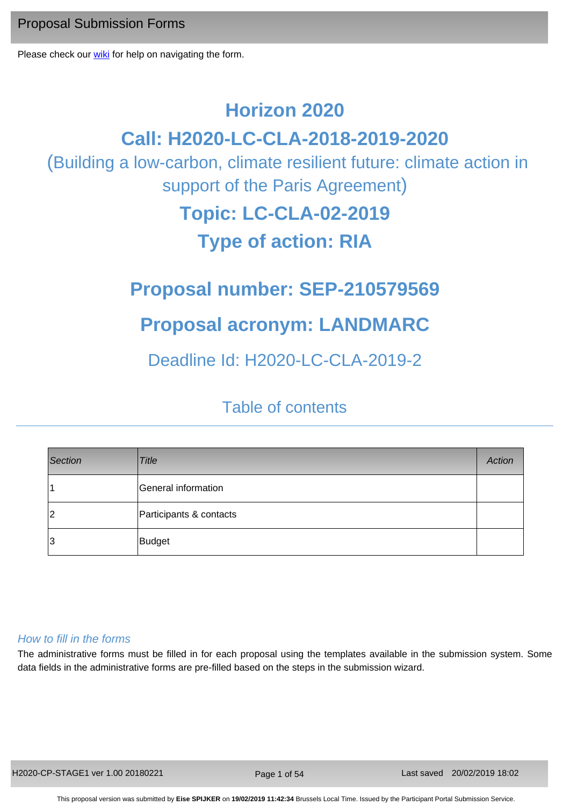Proposal Submission Forms

Please check our [wiki](https://webgate.ec.europa.eu/fpfis/wikis/x/kr21D) for help on navigating the form.

# **Horizon 2020**

# **Call: H2020-LC-CLA-2018-2019-2020**

 (Building a low-carbon, climate resilient future: climate action in support of the Paris Agreement)

# **Topic: LC-CLA-02-2019**

# **Type of action: RIA**

# **Proposal number: SEP-210579569**

# **Proposal acronym: LANDMARC**

# Deadline Id: H2020-LC-CLA-2019-2

# Table of contents

| Section | <b>Title</b>            | <b>Action</b> |
|---------|-------------------------|---------------|
|         | General information     |               |
| 12      | Participants & contacts |               |
| 3       | Budget                  |               |

## *How to fill in the forms*

The administrative forms must be filled in for each proposal using the templates available in the submission system. Some data fields in the administrative forms are pre-filled based on the steps in the submission wizard.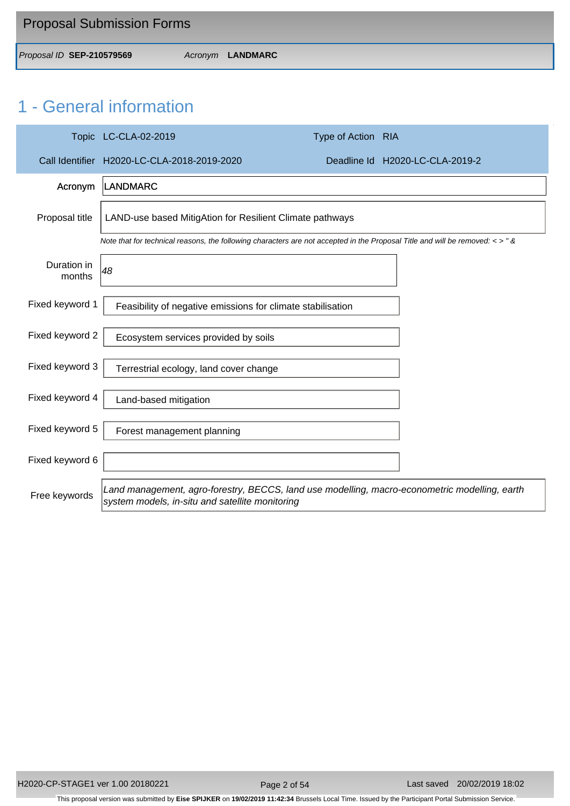| <b>Proposal Submission Forms</b> |                  |
|----------------------------------|------------------|
| Proposal ID SEP-210579569        | Acronym LANDMARC |

# 1 - General information

|                       | Topic LC-CLA-02-2019                                                                                                                             | Type of Action RIA |                                 |  |  |
|-----------------------|--------------------------------------------------------------------------------------------------------------------------------------------------|--------------------|---------------------------------|--|--|
|                       | Call Identifier H2020-LC-CLA-2018-2019-2020                                                                                                      |                    | Deadline Id H2020-LC-CLA-2019-2 |  |  |
| Acronym               | <b>LANDMARC</b>                                                                                                                                  |                    |                                 |  |  |
| Proposal title        | LAND-use based MitigAtion for Resilient Climate pathways                                                                                         |                    |                                 |  |  |
|                       | Note that for technical reasons, the following characters are not accepted in the Proposal Title and will be removed: $\lt$ > " &                |                    |                                 |  |  |
| Duration in<br>months | 48                                                                                                                                               |                    |                                 |  |  |
| Fixed keyword 1       | Feasibility of negative emissions for climate stabilisation                                                                                      |                    |                                 |  |  |
| Fixed keyword 2       | Ecosystem services provided by soils                                                                                                             |                    |                                 |  |  |
| Fixed keyword 3       | Terrestrial ecology, land cover change                                                                                                           |                    |                                 |  |  |
| Fixed keyword 4       | Land-based mitigation                                                                                                                            |                    |                                 |  |  |
| Fixed keyword 5       | Forest management planning                                                                                                                       |                    |                                 |  |  |
| Fixed keyword 6       |                                                                                                                                                  |                    |                                 |  |  |
| Free keywords         | Land management, agro-forestry, BECCS, land use modelling, macro-econometric modelling, earth<br>system models, in-situ and satellite monitoring |                    |                                 |  |  |

Page 2 of 54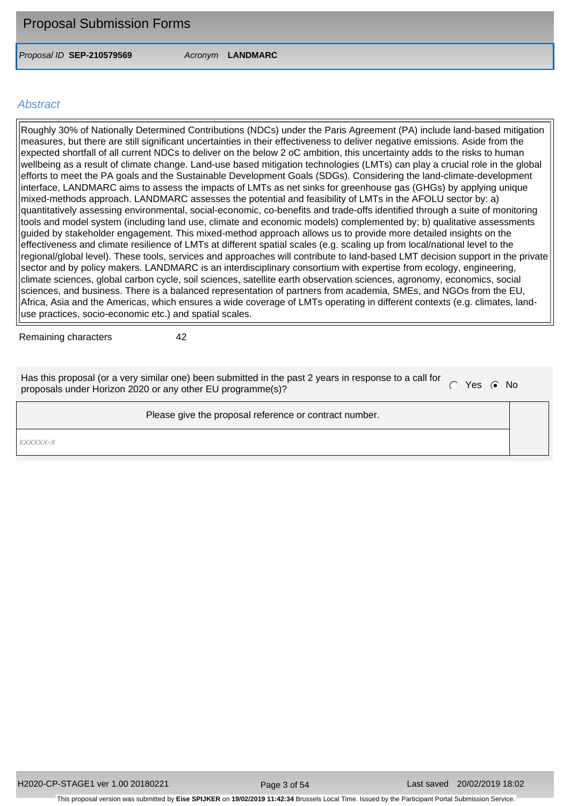*Proposal ID* **SEP-210579569** *Acronym* **LANDMARC**

#### *Abstract*

Roughly 30% of Nationally Determined Contributions (NDCs) under the Paris Agreement (PA) include land-based mitigation measures, but there are still significant uncertainties in their effectiveness to deliver negative emissions. Aside from the expected shortfall of all current NDCs to deliver on the below 2 oC ambition, this uncertainty adds to the risks to human wellbeing as a result of climate change. Land-use based mitigation technologies (LMTs) can play a crucial role in the global efforts to meet the PA goals and the Sustainable Development Goals (SDGs). Considering the land-climate-development interface, LANDMARC aims to assess the impacts of LMTs as net sinks for greenhouse gas (GHGs) by applying unique mixed-methods approach. LANDMARC assesses the potential and feasibility of LMTs in the AFOLU sector by: a) quantitatively assessing environmental, social-economic, co-benefits and trade-offs identified through a suite of monitoring tools and model system (including land use, climate and economic models) complemented by; b) qualitative assessments guided by stakeholder engagement. This mixed-method approach allows us to provide more detailed insights on the effectiveness and climate resilience of LMTs at different spatial scales (e.g. scaling up from local/national level to the regional/global level). These tools, services and approaches will contribute to land-based LMT decision support in the private sector and by policy makers. LANDMARC is an interdisciplinary consortium with expertise from ecology, engineering, climate sciences, global carbon cycle, soil sciences, satellite earth observation sciences, agronomy, economics, social sciences, and business. There is a balanced representation of partners from academia, SMEs, and NGOs from the EU, Africa, Asia and the Americas, which ensures a wide coverage of LMTs operating in different contexts (e.g. climates, landuse practices, socio-economic etc.) and spatial scales.

Remaining characters 42

Has this proposal (or a very similar one) been submitted in the past 2 years in response to a call for proposals under Horizon 2020 or any other EU programme(s)?

Please give the proposal reference or contract number.

*xxxxxx-x*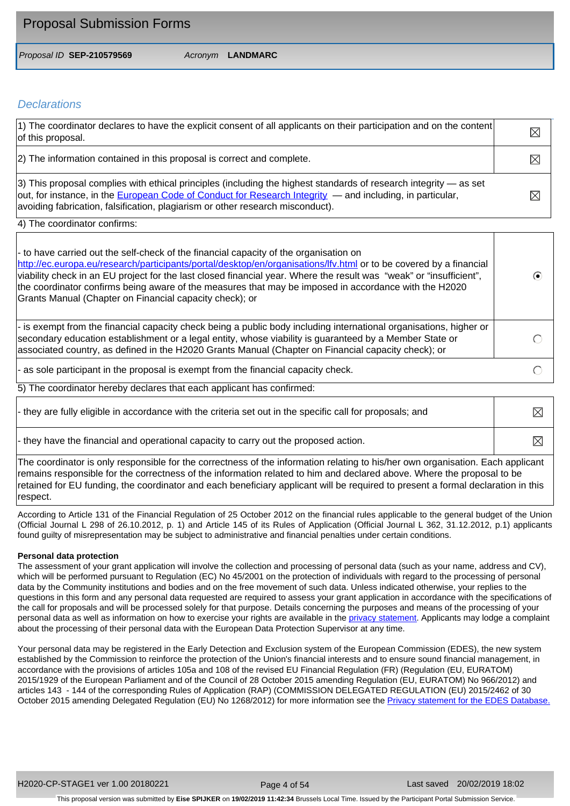| <b>Proposal Submission Forms</b> |                  |
|----------------------------------|------------------|
| Proposal ID SEP-210579569        | Acronym LANDMARC |

## *Declarations*

| [1] The coordinator declares to have the explicit consent of all applicants on their participation and on the content<br>of this proposal.                                                                                                                                                                                | $\boxtimes$ |
|---------------------------------------------------------------------------------------------------------------------------------------------------------------------------------------------------------------------------------------------------------------------------------------------------------------------------|-------------|
| [2] The information contained in this proposal is correct and complete.                                                                                                                                                                                                                                                   | $\boxtimes$ |
| $ 3\rangle$ This proposal complies with ethical principles (including the highest standards of research integrity — as set<br>out, for instance, in the European Code of Conduct for Research Integrity — and including, in particular,<br>avoiding fabrication, falsification, plagiarism or other research misconduct). |             |

4) The coordinator confirms:

| - to have carried out the self-check of the financial capacity of the organisation on<br>http://ec.europa.eu/research/participants/portal/desktop/en/organisations/lfv.html or to be covered by a financial<br>viability check in an EU project for the last closed financial year. Where the result was "weak" or "insufficient",<br>the coordinator confirms being aware of the measures that may be imposed in accordance with the H2020<br>Grants Manual (Chapter on Financial capacity check); or |  |
|--------------------------------------------------------------------------------------------------------------------------------------------------------------------------------------------------------------------------------------------------------------------------------------------------------------------------------------------------------------------------------------------------------------------------------------------------------------------------------------------------------|--|
| - is exempt from the financial capacity check being a public body including international organisations, higher or<br>secondary education establishment or a legal entity, whose viability is guaranteed by a Member State or<br>associated country, as defined in the H2020 Grants Manual (Chapter on Financial capacity check); or                                                                                                                                                                   |  |
| $\vert$ - as sole participant in the proposal is exempt from the financial capacity check.                                                                                                                                                                                                                                                                                                                                                                                                             |  |

The coordinator hereby declares that each applicant has confirmed:

| - they are fully eligible in accordance with the criteria set out in the specific call for proposals; and                                                                                                                                                 | $\boxtimes$ |
|-----------------------------------------------------------------------------------------------------------------------------------------------------------------------------------------------------------------------------------------------------------|-------------|
| - they have the financial and operational capacity to carry out the proposed action.                                                                                                                                                                      | $\boxtimes$ |
| The coordinator is only responsible for the correctness of the information relating to his/her own organisation. Each applicant<br>remains responsible for the correctness of the information related to him and declared above. Where the proposal to be |             |

ectness of the information related to him and declared above. Where the proposal to be retained for EU funding, the coordinator and each beneficiary applicant will be required to present a formal declaration in this respect.

According to Article 131 of the Financial Regulation of 25 October 2012 on the financial rules applicable to the general budget of the Union (Official Journal L 298 of 26.10.2012, p. 1) and Article 145 of its Rules of Application (Official Journal L 362, 31.12.2012, p.1) applicants found guilty of misrepresentation may be subject to administrative and financial penalties under certain conditions.

#### **Personal data protection**

The assessment of your grant application will involve the collection and processing of personal data (such as your name, address and CV), which will be performed pursuant to Regulation (EC) No 45/2001 on the protection of individuals with regard to the processing of personal data by the Community institutions and bodies and on the free movement of such data. Unless indicated otherwise, your replies to the questions in this form and any personal data requested are required to assess your grant application in accordance with the specifications of the call for proposals and will be processed solely for that purpose. Details concerning the purposes and means of the processing of your personal data as well as information on how to exercise your rights are available in the [privacy statement](http://ec.europa.eu/research/participants/data/support/legal_notice/h2020-ssps-grants_en.pdf). Applicants may lodge a complaint about the processing of their personal data with the European Data Protection Supervisor at any time.

Your personal data may be registered in the Early Detection and Exclusion system of the European Commission (EDES), the new system established by the Commission to reinforce the protection of the Union's financial interests and to ensure sound financial management, in accordance with the provisions of articles 105a and 108 of the revised EU Financial Regulation (FR) (Regulation (EU, EURATOM) 2015/1929 of the European Parliament and of the Council of 28 October 2015 amending Regulation (EU, EURATOM) No 966/2012) and articles 143 - 144 of the corresponding Rules of Application (RAP) (COMMISSION DELEGATED REGULATION (EU) 2015/2462 of 30 October 2015 amending Delegated Regulation (EU) No 1268/2012) for more information see the [Privacy statement for the EDES](http://ec.europa.eu/budget/library/explained/management/protecting/privacy_statement_edes_en.pdf) [Database.](http://ec.europa.eu/budget/library/explained/management/protecting/privacy_statement_edes_en.pdf)

Page 4 of 54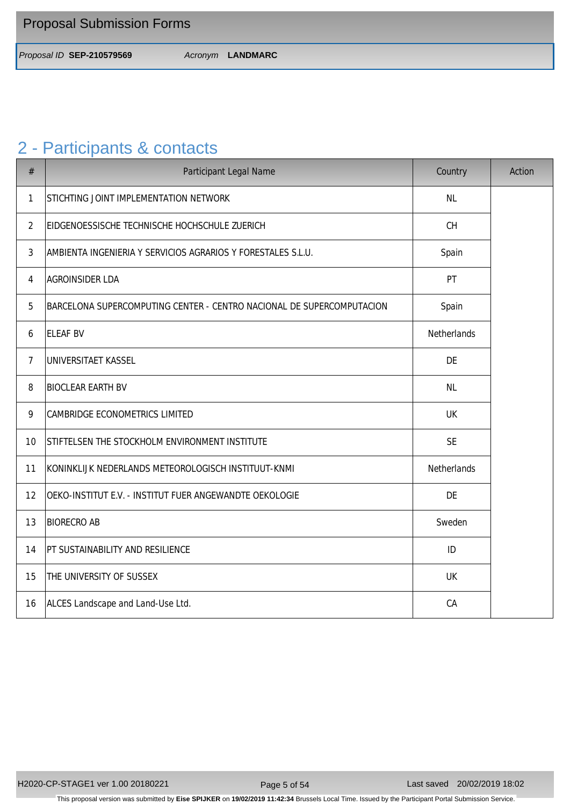*Proposal ID* **SEP-210579569** *Acronym* **LANDMARC**

# 2 - Participants & contacts

| $\#$           | Participant Legal Name                                                | Country     | Action |
|----------------|-----------------------------------------------------------------------|-------------|--------|
| 1              | STICHTING JOINT IMPLEMENTATION NETWORK                                | <b>NL</b>   |        |
| $\overline{2}$ | EIDGENOESSISCHE TECHNISCHE HOCHSCHULE ZUERICH                         | CH          |        |
| $\mathfrak{Z}$ | AMBIENTA INGENIERIA Y SERVICIOS AGRARIOS Y FORESTALES S.L.U.          | Spain       |        |
| 4              | <b>AGROINSIDER LDA</b>                                                | PT          |        |
| 5              | BARCELONA SUPERCOMPUTING CENTER - CENTRO NACIONAL DE SUPERCOMPUTACION | Spain       |        |
| 6              | <b>ELEAF BV</b>                                                       | Netherlands |        |
| $\overline{7}$ | UNIVERSITAET KASSEL                                                   | DE          |        |
| 8              | <b>BIOCLEAR EARTH BV</b>                                              | <b>NL</b>   |        |
| 9              | CAMBRIDGE ECONOMETRICS LIMITED                                        | UK          |        |
| 10             | STIFTELSEN THE STOCKHOLM ENVIRONMENT INSTITUTE                        | <b>SE</b>   |        |
| 11             | KONINKLIJK NEDERLANDS METEOROLOGISCH INSTITUUT-KNMI                   | Netherlands |        |
| 12             | OEKO-INSTITUT E.V. - INSTITUT FUER ANGEWANDTE OEKOLOGIE               | DE          |        |
| 13             | <b>BIORECRO AB</b>                                                    | Sweden      |        |
| 14             | PT SUSTAINABILITY AND RESILIENCE                                      | ID          |        |
| 15             | THE UNIVERSITY OF SUSSEX                                              | UK          |        |
| 16             | ALCES Landscape and Land-Use Ltd.                                     | CA          |        |

This proposal version was submitted by **Eise SPIJKER** on **19/02/2019 11:42:34** Brussels Local Time. Issued by the Participant Portal Submission Service.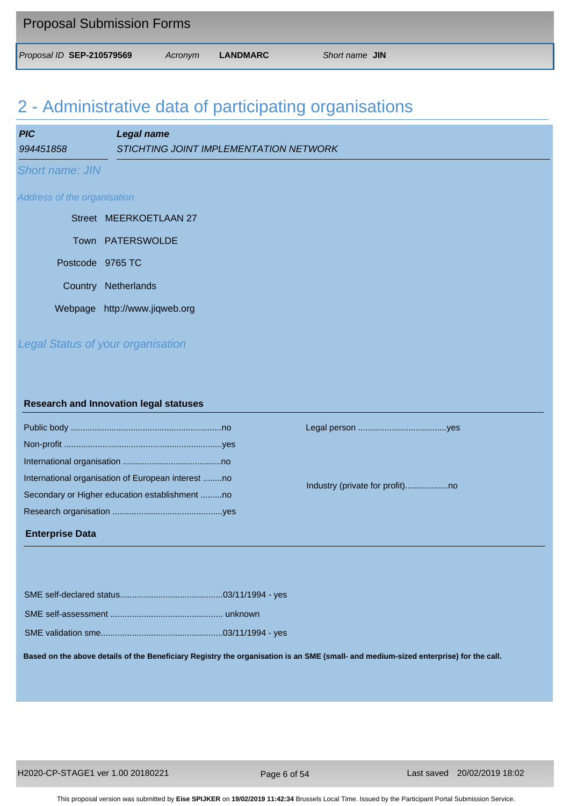| <b>Proposal Submission Forms</b> |         |          |                |
|----------------------------------|---------|----------|----------------|
| Proposal ID SEP-210579569        | Acronym | LANDMARC | Short name JIN |

# 2 - Administrative data of participating organisations

| <b>PIC</b>                  | Legal name                               |  |  |
|-----------------------------|------------------------------------------|--|--|
| 994451858                   | STICHTING JOINT IMPLEMENTATION NETWORK   |  |  |
| <b>Short name: JIN</b>      |                                          |  |  |
| Address of the organisation |                                          |  |  |
|                             | Street MEERKOETLAAN 27                   |  |  |
|                             | Town PATERSWOLDE                         |  |  |
| Postcode 9765 TC            |                                          |  |  |
| Country                     | Netherlands                              |  |  |
|                             | Webpage http://www.jiqweb.org            |  |  |
|                             | <b>Legal Status of your organisation</b> |  |  |

#### **Research and Innovation legal statuses**

| International organisation of European interest no |  |
|----------------------------------------------------|--|
| Secondary or Higher education establishment no     |  |
|                                                    |  |
|                                                    |  |

Public body ...............................................................no Legal person .....................................yes

Industry (private for profit)..................no

#### **Enterprise Data**

SME self-declared status...........................................03/11/1994 - yes SME self-assessment ............................................... unknown SME validation sme...................................................03/11/1994 - yes

**Based on the above details of the Beneficiary Registry the organisation is an SME (small- and medium-sized enterprise) for the call.**

Page 6 of 54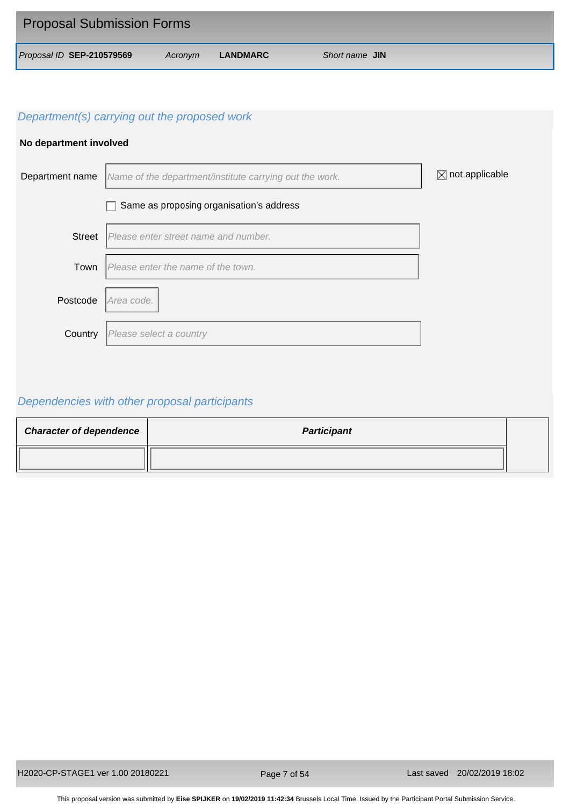| <b>Proposal Submission Forms</b> |         |          |                |
|----------------------------------|---------|----------|----------------|
| Proposal ID SEP-210579569        | Acronym | LANDMARC | Short name JIN |

## **No department involved**



# *Dependencies with other proposal participants*

| <b>Character of dependence</b> | <b>Participant</b> |  |
|--------------------------------|--------------------|--|
|                                |                    |  |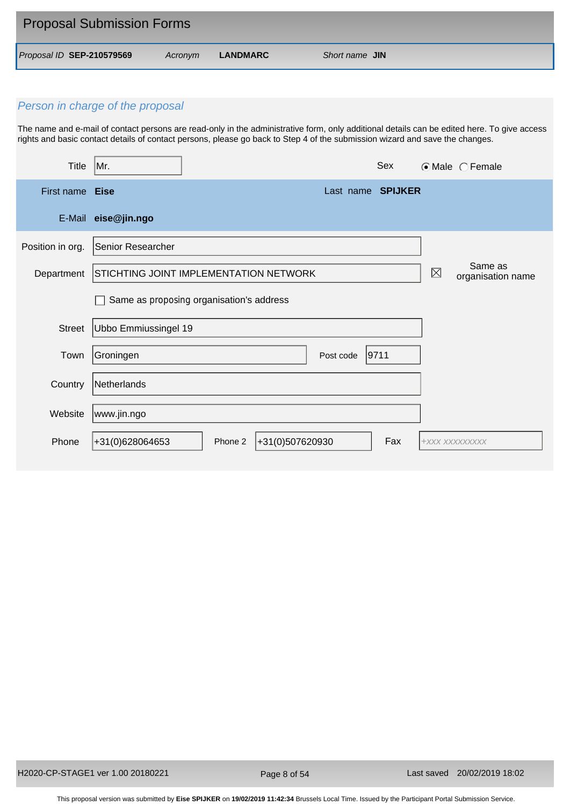| <b>Proposal Submission Forms</b> |         |          |                |
|----------------------------------|---------|----------|----------------|
| Proposal ID SEP-210579569        | Acronvm | LANDMARC | Short name JIN |

The name and e-mail of contact persons are read-only in the administrative form, only additional details can be edited here. To give access rights and basic contact details of contact persons, please go back to Step 4 of the submission wizard and save the changes.

| <b>Title</b>     | Mr.                         | Sex                                      | $\odot$ Male $\odot$ Female                 |
|------------------|-----------------------------|------------------------------------------|---------------------------------------------|
| First name Eise  |                             | Last name SPIJKER                        |                                             |
| E-Mail           | eise@jin.ngo                |                                          |                                             |
| Position in org. | Senior Researcher           |                                          |                                             |
| Department       |                             | STICHTING JOINT IMPLEMENTATION NETWORK   | Same as<br>$\boxtimes$<br>organisation name |
|                  |                             | Same as proposing organisation's address |                                             |
| Street           | <b>Ubbo Emmiussingel 19</b> |                                          |                                             |
| Town             | Groningen                   | 9711<br>Post code                        |                                             |
| Country          | Netherlands                 |                                          |                                             |
| Website          | www.jin.ngo                 |                                          |                                             |
| Phone            | +31(0)628064653             | +31(0)507620930<br>Fax<br>Phone 2        | +XXX XXXXXXXXX                              |

Page 8 of 54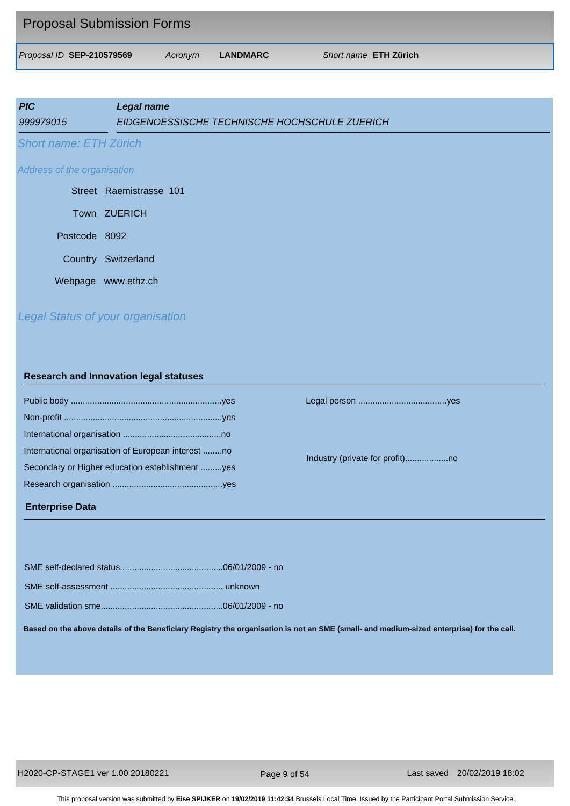| <b>Proposal Submission Forms</b> |         |          |                              |
|----------------------------------|---------|----------|------------------------------|
| Proposal ID SEP-210579569        | Acronvm | LANDMARC | Short name <b>ETH Zürich</b> |

| <b>PIC</b><br>999979015                  | <b>Legal name</b><br>EIDGENOESSISCHE TECHNISCHE HOCHSCHULE ZUERICH |
|------------------------------------------|--------------------------------------------------------------------|
| <b>Short name: ETH Zürich</b>            |                                                                    |
| Address of the organisation              |                                                                    |
|                                          | Street Raemistrasse 101                                            |
|                                          | Town ZUERICH                                                       |
| Postcode 8092                            |                                                                    |
|                                          | Country Switzerland                                                |
|                                          | Webpage www.ethz.ch                                                |
| <b>Legal Status of your organisation</b> |                                                                    |

#### **Research and Innovation legal statuses**

| International organisation of European interest no |  |
|----------------------------------------------------|--|
| Secondary or Higher education establishment yes    |  |
|                                                    |  |
|                                                    |  |

#### **Enterprise Data**

Public body ...............................................................yes Legal person .....................................yes

Industry (private for profit)..................no

**Based on the above details of the Beneficiary Registry the organisation is not an SME (small- and medium-sized enterprise) for the call.**

Page 9 of 54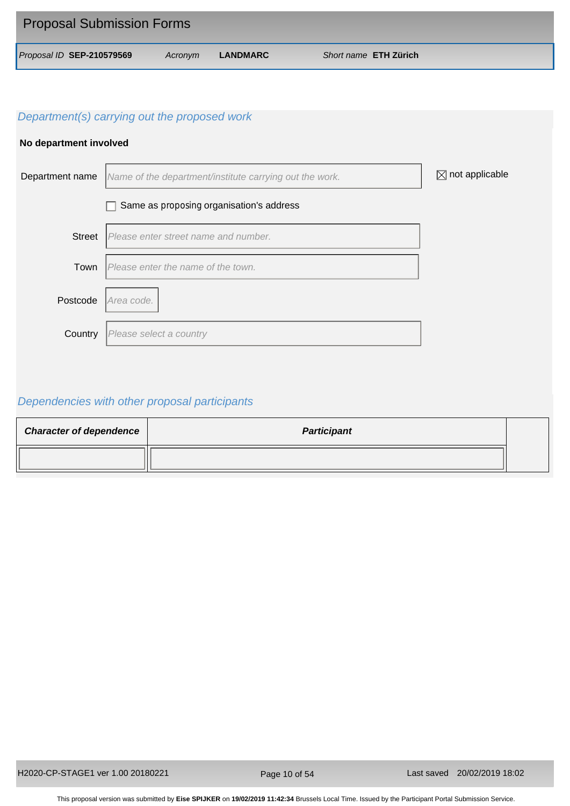| <b>Proposal Submission Forms</b> |         |          |                              |
|----------------------------------|---------|----------|------------------------------|
| Proposal ID SEP-210579569        | Acronym | LANDMARC | Short name <b>ETH Zürich</b> |

## **No department involved**



# *Dependencies with other proposal participants*

| <b>Character of dependence</b> | <b>Participant</b> |  |
|--------------------------------|--------------------|--|
|                                |                    |  |

Page 10 of 54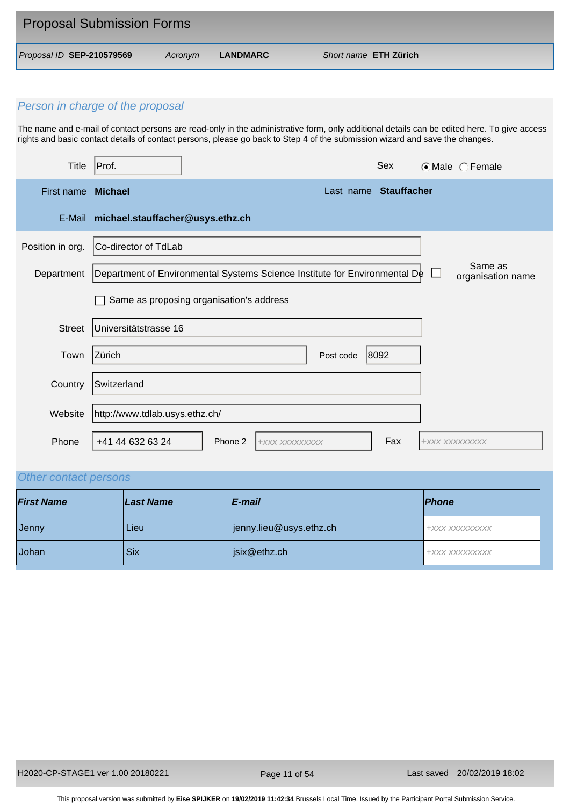| <b>Proposal Submission Forms</b> |         |          |                              |
|----------------------------------|---------|----------|------------------------------|
| Proposal ID SEP-210579569        | Acronvm | LANDMARC | Short name <b>ETH Zürich</b> |

The name and e-mail of contact persons are read-only in the administrative form, only additional details can be edited here. To give access rights and basic contact details of contact persons, please go back to Step 4 of the submission wizard and save the changes.

| Title            | Prof.                            |                                                                            |                       | Sex  |                | $\odot$ Male $\odot$ Female  |
|------------------|----------------------------------|----------------------------------------------------------------------------|-----------------------|------|----------------|------------------------------|
| First name       | <b>Michael</b>                   |                                                                            | Last name Stauffacher |      |                |                              |
| E-Mail           | michael.stauffacher@usys.ethz.ch |                                                                            |                       |      |                |                              |
| Position in org. | Co-director of TdLab             |                                                                            |                       |      |                |                              |
| Department       |                                  | Department of Environmental Systems Science Institute for Environmental De |                       |      |                | Same as<br>organisation name |
|                  |                                  | Same as proposing organisation's address                                   |                       |      |                |                              |
| <b>Street</b>    | Universitätstrasse 16            |                                                                            |                       |      |                |                              |
| Town             | Zürich                           |                                                                            | Post code             | 8092 |                |                              |
| Country          | Switzerland                      |                                                                            |                       |      |                |                              |
| Website          | http://www.tdlab.usys.ethz.ch/   |                                                                            |                       |      |                |                              |
| Phone            | +41 44 632 63 24                 | Phone 2<br>+XXX XXXXXXXXX                                                  |                       | Fax  | +XXX XXXXXXXXX |                              |

# *Other contact persons*

| <b>First Name</b> | Last Name | E-mail                  | <i><u><b>Phone</b></u></i> |
|-------------------|-----------|-------------------------|----------------------------|
| Jenny             | Lieu      | jenny.lieu@usys.ethz.ch | +XXX XXXXXXXXX             |
| Johan             | Six       | six@ethz.ch             | +XXX XXXXXXXXX             |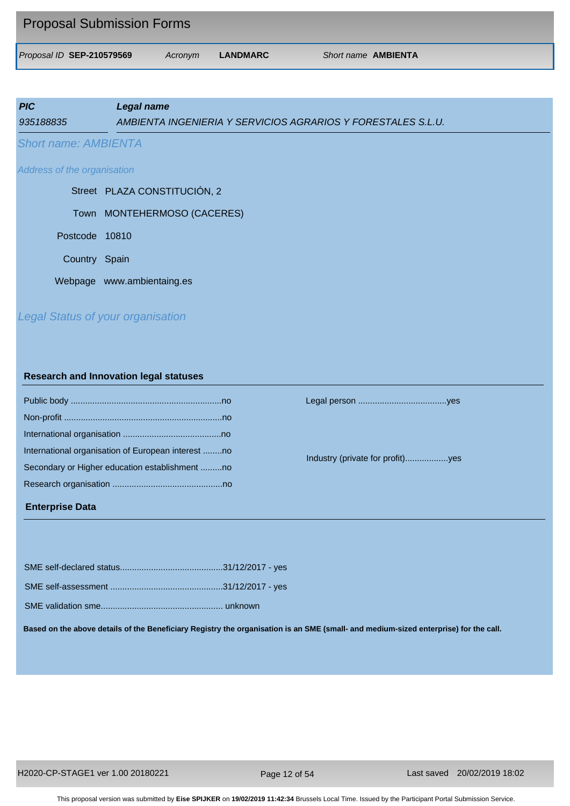| <b>Proposal Submission Forms</b> |         |          |                            |
|----------------------------------|---------|----------|----------------------------|
| Proposal ID SEP-210579569        | Acronym | LANDMARC | Short name <b>AMBIENTA</b> |

| <b>PIC</b><br>935188835     | Legal name<br>AMBIENTA INGENIERIA Y SERVICIOS AGRARIOS Y FORESTALES S.L.U. |
|-----------------------------|----------------------------------------------------------------------------|
| <b>Short name: AMBIENTA</b> |                                                                            |
| Address of the organisation |                                                                            |
|                             | Street PLAZA CONSTITUCIÓN, 2                                               |
|                             | Town MONTEHERMOSO (CACERES)                                                |
| Postcode 10810              |                                                                            |
| Country Spain               |                                                                            |
|                             | Webpage www.ambientaing.es                                                 |
|                             | <b>Legal Status of your organisation</b>                                   |

#### **Research and Innovation legal statuses**

| International organisation of European interest no |
|----------------------------------------------------|
| Secondary or Higher education establishment no     |
|                                                    |
|                                                    |

#### **Enterprise Data**

Public body ...............................................................no Legal person .....................................yes

Industry (private for profit)..................yes

**Based on the above details of the Beneficiary Registry the organisation is an SME (small- and medium-sized enterprise) for the call.**

Page 12 of 54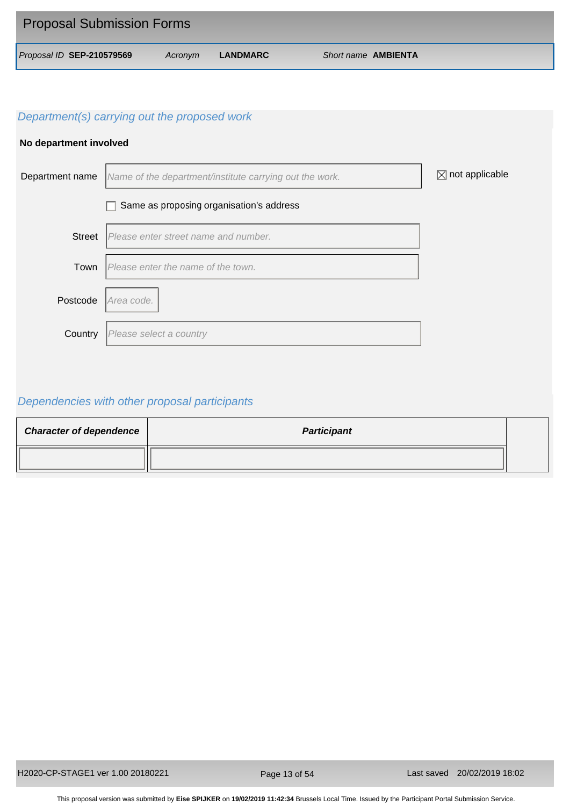| <b>Proposal Submission Forms</b> |         |          |                            |
|----------------------------------|---------|----------|----------------------------|
| Proposal ID SEP-210579569        | Acronym | LANDMARC | Short name <b>AMBIENTA</b> |

## **No department involved**



# *Dependencies with other proposal participants*

| <b>Character of dependence</b> | <b>Participant</b> |  |
|--------------------------------|--------------------|--|
|                                |                    |  |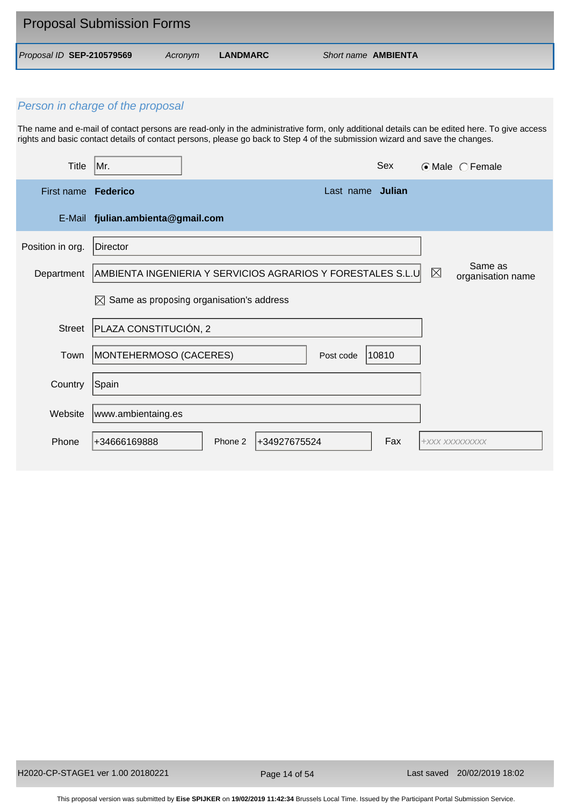| <b>Proposal Submission Forms</b> |         |          |                            |
|----------------------------------|---------|----------|----------------------------|
| Proposal ID SEP-210579569        | Acronym | LANDMARC | Short name <b>AMBIENTA</b> |

The name and e-mail of contact persons are read-only in the administrative form, only additional details can be edited here. To give access rights and basic contact details of contact persons, please go back to Step 4 of the submission wizard and save the changes.

| <b>Title</b>               | Mr.                               |                                                             |                  | Sex   |                | $\odot$ Male $\odot$ Female  |
|----------------------------|-----------------------------------|-------------------------------------------------------------|------------------|-------|----------------|------------------------------|
| First name <b>Federico</b> |                                   |                                                             | Last name Julian |       |                |                              |
|                            | E-Mail fjulian.ambienta@gmail.com |                                                             |                  |       |                |                              |
| Position in org.           | Director                          |                                                             |                  |       |                |                              |
| Department                 |                                   | AMBIENTA INGENIERIA Y SERVICIOS AGRARIOS Y FORESTALES S.L.U |                  |       | $\boxtimes$    | Same as<br>organisation name |
|                            | M                                 | Same as proposing organisation's address                    |                  |       |                |                              |
| <b>Street</b>              | PLAZA CONSTITUCIÓN, 2             |                                                             |                  |       |                |                              |
| Town                       | MONTEHERMOSO (CACERES)            |                                                             | Post code        | 10810 |                |                              |
| Country                    | Spain                             |                                                             |                  |       |                |                              |
| Website                    | www.ambientaing.es                |                                                             |                  |       |                |                              |
| Phone                      | +34666169888                      | +34927675524<br>Phone 2                                     |                  | Fax   | +XXX XXXXXXXXX |                              |

Page 14 of 54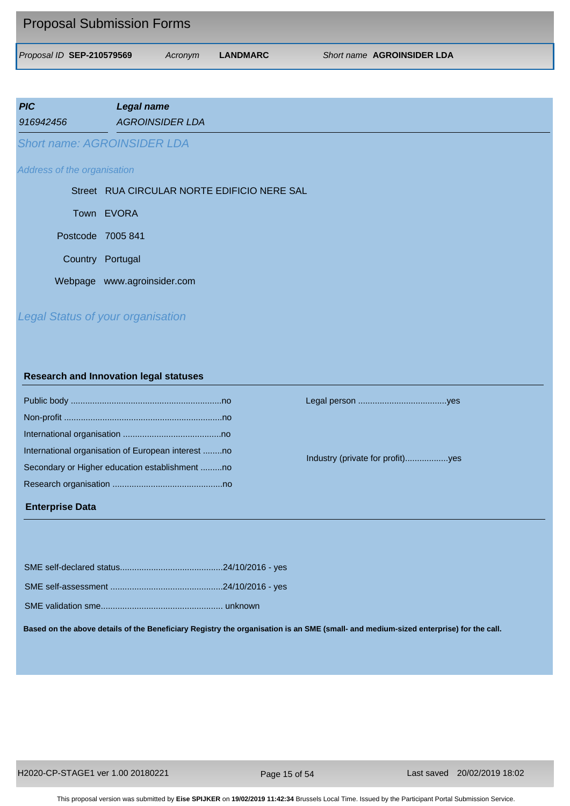| <b>Proposal Submission Forms</b> |         |          |                                   |  |
|----------------------------------|---------|----------|-----------------------------------|--|
| Proposal ID SEP-210579569        | Acronym | LANDMARC | <b>Short name AGROINSIDER LDA</b> |  |

| <b>PIC</b>                  | <b>Legal name</b>                           |
|-----------------------------|---------------------------------------------|
| 916942456                   | <b>AGROINSIDER LDA</b>                      |
|                             | <b>Short name: AGROINSIDER LDA</b>          |
| Address of the organisation |                                             |
|                             | Street RUA CIRCULAR NORTE EDIFICIO NERE SAL |
|                             | Town EVORA                                  |
| Postcode 7005 841           |                                             |
| Country                     | Portugal                                    |

Webpage www.agroinsider.com

# *Legal Status of your organisation*

#### **Research and Innovation legal statuses**

| International organisation of European interest no |
|----------------------------------------------------|
| Secondary or Higher education establishment no     |
|                                                    |
|                                                    |

## **Enterprise Data**

Public body ...............................................................no Legal person .....................................yes

Industry (private for profit)..................yes

**Based on the above details of the Beneficiary Registry the organisation is an SME (small- and medium-sized enterprise) for the call.**

Page 15 of 54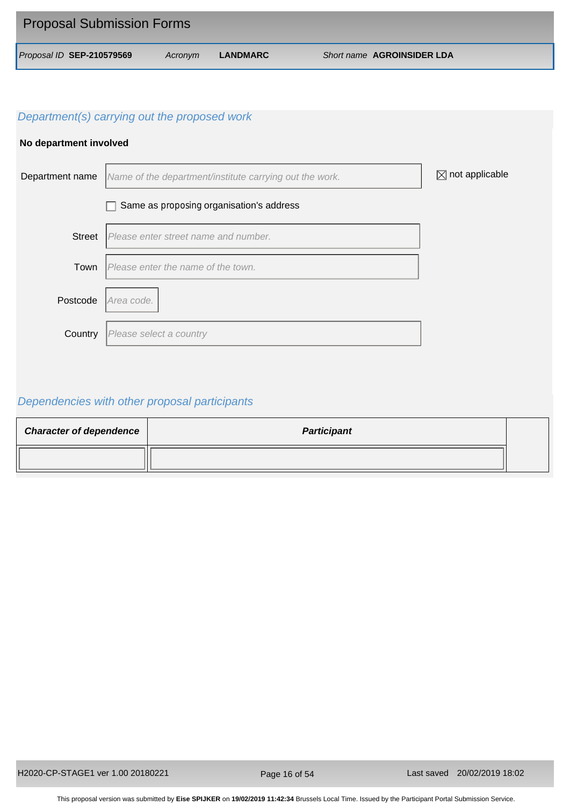| <b>Proposal Submission Forms</b> |         |          |                            |
|----------------------------------|---------|----------|----------------------------|
| Proposal ID SEP-210579569        | Acronym | LANDMARC | Short name AGROINSIDER LDA |

## **No department involved**



# *Dependencies with other proposal participants*

| <b>Character of dependence</b> | <b>Participant</b> |  |
|--------------------------------|--------------------|--|
|                                |                    |  |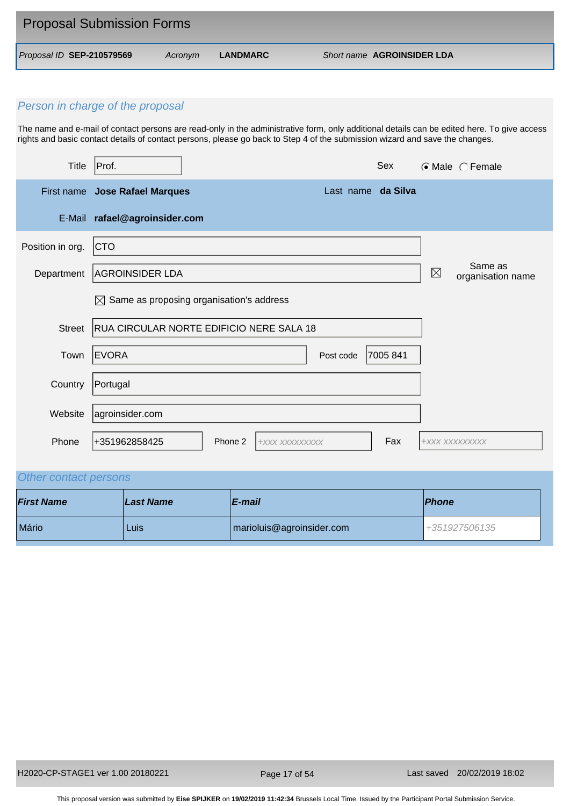| <b>Proposal Submission Forms</b> |         |          |                                   |  |
|----------------------------------|---------|----------|-----------------------------------|--|
| Proposal ID SEP-210579569        | Acronvm | LANDMARC | <b>Short name AGROINSIDER LDA</b> |  |

The name and e-mail of contact persons are read-only in the administrative form, only additional details can be edited here. To give access rights and basic contact details of contact persons, please go back to Step 4 of the submission wizard and save the changes.

| <b>Title</b>     | Sex<br>Prof.                                         |             | ⊙Male CFemale                |  |  |
|------------------|------------------------------------------------------|-------------|------------------------------|--|--|
|                  | First name Jose Rafael Marques<br>Last name da Silva |             |                              |  |  |
| E-Mail           | rafael@agroinsider.com                               |             |                              |  |  |
| Position in org. | CTO                                                  |             |                              |  |  |
| Department       | <b>AGROINSIDER LDA</b>                               | $\boxtimes$ | Same as<br>organisation name |  |  |
|                  | Same as proposing organisation's address<br>⊠        |             |                              |  |  |
| <b>Street</b>    | RUA CIRCULAR NORTE EDIFICIO NERE SALA 18             |             |                              |  |  |
| Town             | EVORA<br>Post code<br>7005 841                       |             |                              |  |  |
| Country          | Portugal                                             |             |                              |  |  |
| Website          | agroinsider.com                                      |             |                              |  |  |
| Phone            | Fax<br>+351962858425<br>Phone 2<br>+XXX XXXXXXXXX    |             | +XXX XXXXXXXXX               |  |  |

# *Other contact persons*

| <b>First Name</b> | Last Name | E-mail                    | <b>Phone</b>     |
|-------------------|-----------|---------------------------|------------------|
| Mário             | Luis      | marioluis@agroinsider.com | $1+351927506135$ |

Page 17 of 54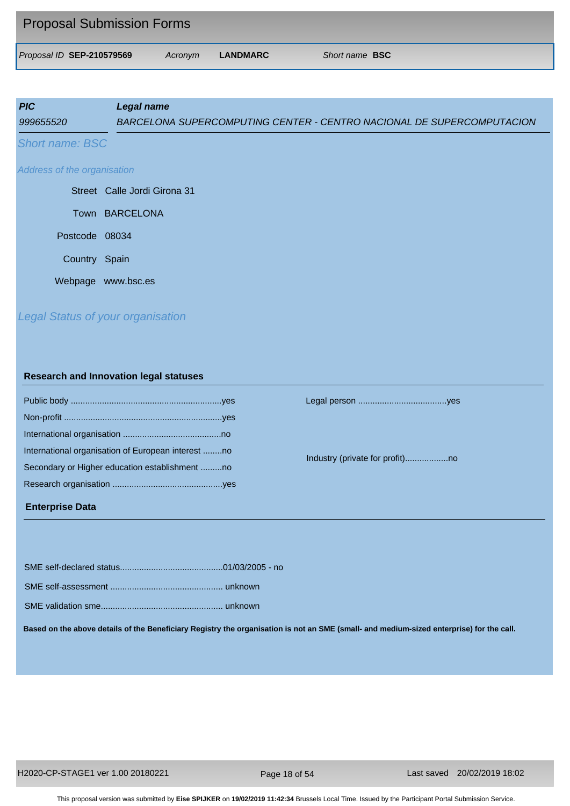| <b>Proposal Submission Forms</b> |         |          |                       |
|----------------------------------|---------|----------|-----------------------|
| Proposal ID SEP-210579569        | Acronym | LANDMARC | Short name <b>BSC</b> |

| <b>PIC</b> | Legal name                                                            |
|------------|-----------------------------------------------------------------------|
| 999655520  | BARCELONA SUPERCOMPUTING CENTER - CENTRO NACIONAL DE SUPERCOMPUTACION |
|            |                                                                       |

*Short name: BSC* 

#### *Address of the organisation*

|                | Street Calle Jordi Girona 31 |
|----------------|------------------------------|
|                | Town BARCELONA               |
| Postcode 08034 |                              |
| Country Spain  |                              |
|                | Webpage www.bsc.es           |

# *Legal Status of your organisation*

#### **Research and Innovation legal statuses**

| International organisation of European interest no |  |
|----------------------------------------------------|--|
| Secondary or Higher education establishment no     |  |
|                                                    |  |
|                                                    |  |

#### **Enterprise Data**

Public body ...............................................................yes Legal person .....................................yes

Industry (private for profit)..................no

SME self-declared status...........................................01/03/2005 - no

SME self-assessment ............................................... unknown

SME validation sme................................................... unknown

**Based on the above details of the Beneficiary Registry the organisation is not an SME (small- and medium-sized enterprise) for the call.**

Page 18 of 54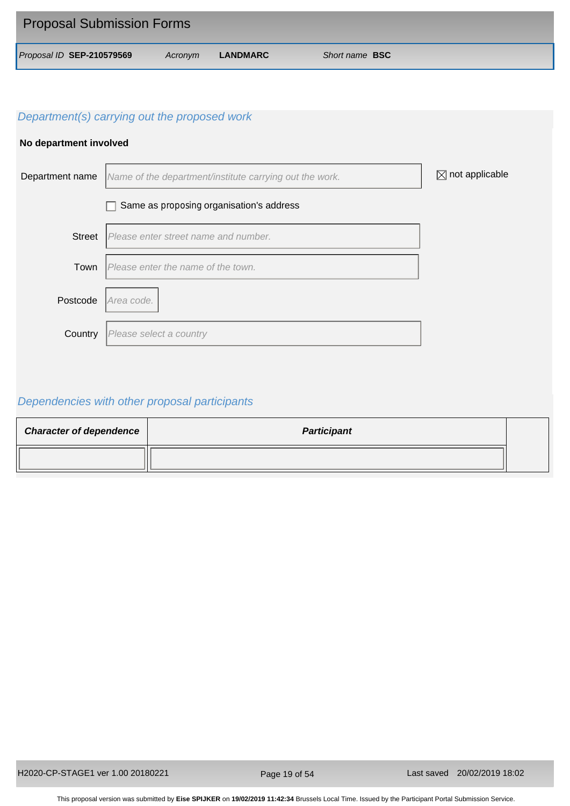| <b>Proposal Submission Forms</b> |         |          |                       |  |
|----------------------------------|---------|----------|-----------------------|--|
| Proposal ID SEP-210579569        | Acronym | LANDMARC | Short name <b>BSC</b> |  |

## **No department involved**



# *Dependencies with other proposal participants*

| <b>Character of dependence</b> | <b>Participant</b> |  |
|--------------------------------|--------------------|--|
|                                |                    |  |

Page 19 of 54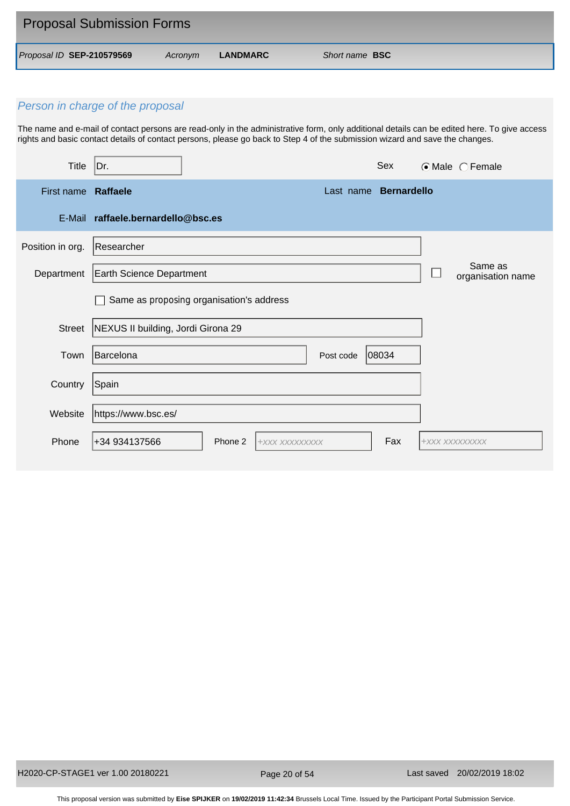| <b>Proposal Submission Forms</b> |         |          |                       |
|----------------------------------|---------|----------|-----------------------|
| Proposal ID SEP-210579569        | Acronym | LANDMARC | Short name <b>BSC</b> |

The name and e-mail of contact persons are read-only in the administrative form, only additional details can be edited here. To give access rights and basic contact details of contact persons, please go back to Step 4 of the submission wizard and save the changes.

| <b>Title</b>        | Dr.                                |                                          |                       | Sex   | $\odot$ Male $\odot$ Female  |
|---------------------|------------------------------------|------------------------------------------|-----------------------|-------|------------------------------|
| First name Raffaele |                                    |                                          | Last name Bernardello |       |                              |
|                     | E-Mail raffaele.bernardello@bsc.es |                                          |                       |       |                              |
| Position in org.    | Researcher                         |                                          |                       |       |                              |
| Department          | <b>Earth Science Department</b>    |                                          |                       |       | Same as<br>organisation name |
|                     |                                    | Same as proposing organisation's address |                       |       |                              |
| <b>Street</b>       | NEXUS II building, Jordi Girona 29 |                                          |                       |       |                              |
| Town                | Barcelona                          |                                          | Post code             | 08034 |                              |
| Country             | Spain                              |                                          |                       |       |                              |
| Website             | https://www.bsc.es/                |                                          |                       |       |                              |
| Phone               | +34 934137566                      | Phone 2<br>+XXX XXXXXXXXX                |                       | Fax   | +XXX XXXXXXXXX               |

Page 20 of 54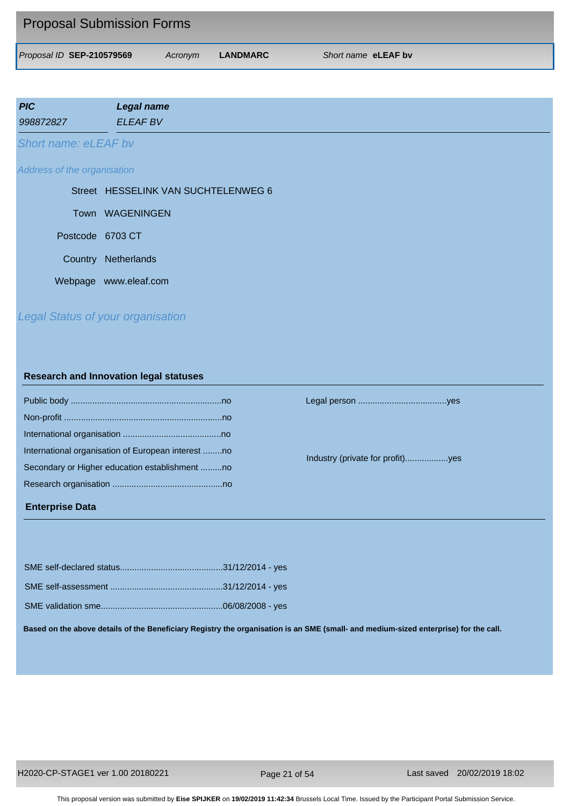| <b>Proposal Submission Forms</b> |         |          |                     |
|----------------------------------|---------|----------|---------------------|
| Proposal ID SEP-210579569        | Acronym | LANDMARC | Short name eLEAF by |

| <b>PIC</b>           | <b>Legal name</b> |
|----------------------|-------------------|
| 998872827            | <b>ELEAF BV</b>   |
| Short name: eLEAF by |                   |

#### *Address of the organisation*

Town WAGENINGEN Postcode 6703 CT Street HESSELINK VAN SUCHTELENWEG 6 Country Netherlands Webpage www.eleaf.com

# *Legal Status of your organisation*

#### **Research and Innovation legal statuses**

| International organisation of European interest no |
|----------------------------------------------------|
| Secondary or Higher education establishment no     |
|                                                    |
|                                                    |

#### **Enterprise Data**

Public body ...............................................................no Legal person .....................................yes

Industry (private for profit)..................yes

**Based on the above details of the Beneficiary Registry the organisation is an SME (small- and medium-sized enterprise) for the call.**

Page 21 of 54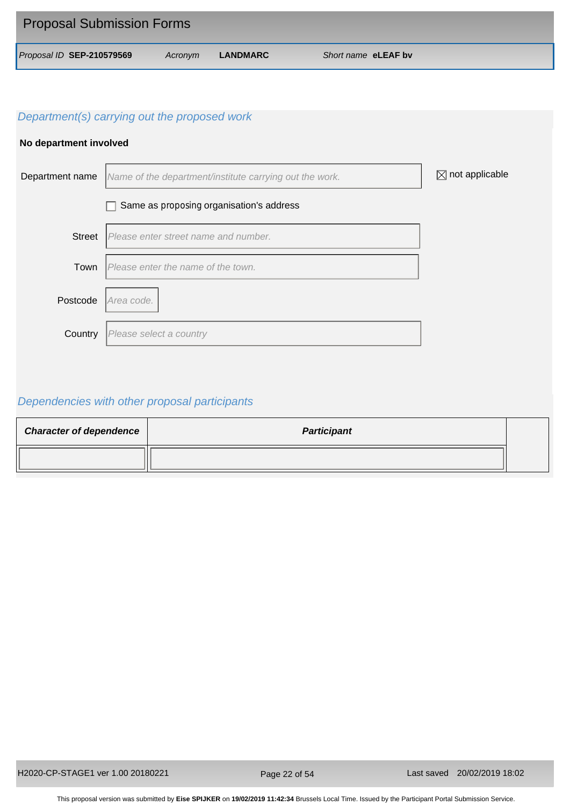| <b>Proposal Submission Forms</b> |         |          |                     |
|----------------------------------|---------|----------|---------------------|
| Proposal ID SEP-210579569        | Acronym | LANDMARC | Short name eLEAF by |

## **No department involved**



# *Dependencies with other proposal participants*

| <b>Character of dependence</b> | <b>Participant</b> |  |
|--------------------------------|--------------------|--|
|                                |                    |  |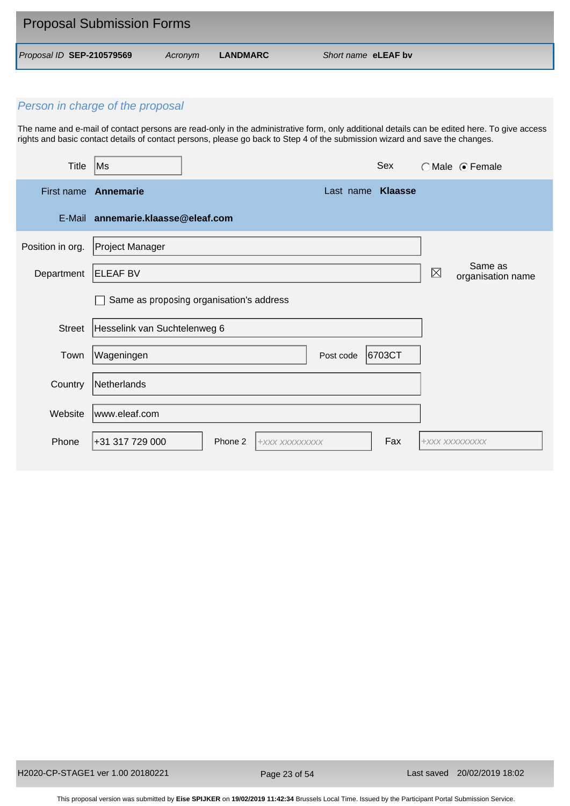| <b>Proposal Submission Forms</b> |         |          |                     |
|----------------------------------|---------|----------|---------------------|
| Proposal ID SEP-210579569        | Acronym | LANDMARC | Short name eLEAF by |

The name and e-mail of contact persons are read-only in the administrative form, only additional details can be edited here. To give access rights and basic contact details of contact persons, please go back to Step 4 of the submission wizard and save the changes.

| <b>Title</b>     | Sex<br>Ms                                        |     |                | ○Male ● Female               |
|------------------|--------------------------------------------------|-----|----------------|------------------------------|
|                  | First name Annemarie<br>Last name <b>Klaasse</b> |     |                |                              |
|                  | E-Mail annemarie.klaasse@eleaf.com               |     |                |                              |
| Position in org. | Project Manager                                  |     |                |                              |
| Department       | <b>ELEAF BV</b>                                  |     | $\boxtimes$    | Same as<br>organisation name |
|                  | Same as proposing organisation's address         |     |                |                              |
| <b>Street</b>    | Hesselink van Suchtelenweg 6                     |     |                |                              |
| Town             | Wageningen<br>6703CT<br>Post code                |     |                |                              |
| Country          | Netherlands                                      |     |                |                              |
| Website          | www.eleaf.com                                    |     |                |                              |
| Phone            | +31 317 729 000<br>Phone 2<br>+XXX XXXXXXXXX     | Fax | +XXX XXXXXXXXX |                              |

Page 23 of 54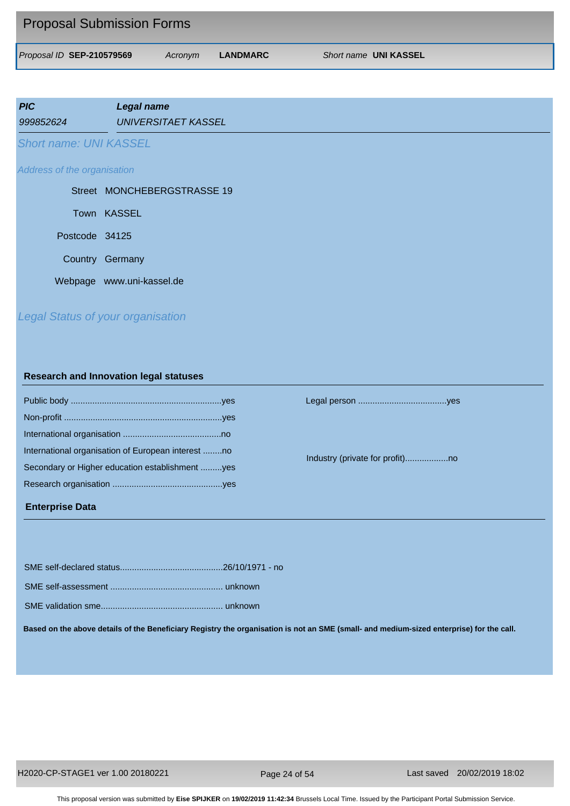| <b>Proposal Submission Forms</b> |         |          |                       |
|----------------------------------|---------|----------|-----------------------|
| Proposal ID SEP-210579569        | Acronym | LANDMARC | Short name UNI KASSEL |

| <b>PIC</b><br>999852624       | Legal name<br><b>UNIVERSITAET KASSEL</b> |
|-------------------------------|------------------------------------------|
| <b>Short name: UNI KASSEL</b> |                                          |
| Address of the organisation   |                                          |
|                               | Street MONCHEBERGSTRASSE 19              |
|                               | Town KASSEL                              |
| Postcode 34125                |                                          |
|                               | Country Germany                          |

Webpage www.uni-kassel.de

# *Legal Status of your organisation*

#### **Research and Innovation legal statuses**

| International organisation of European interest no |  |
|----------------------------------------------------|--|
| Secondary or Higher education establishment yes    |  |
|                                                    |  |
|                                                    |  |

#### **Enterprise Data**

Public body ...............................................................yes Legal person .....................................yes

Industry (private for profit)..................no

SME self-assessment ............................................... unknown

SME validation sme................................................... unknown

**Based on the above details of the Beneficiary Registry the organisation is not an SME (small- and medium-sized enterprise) for the call.**

Page 24 of 54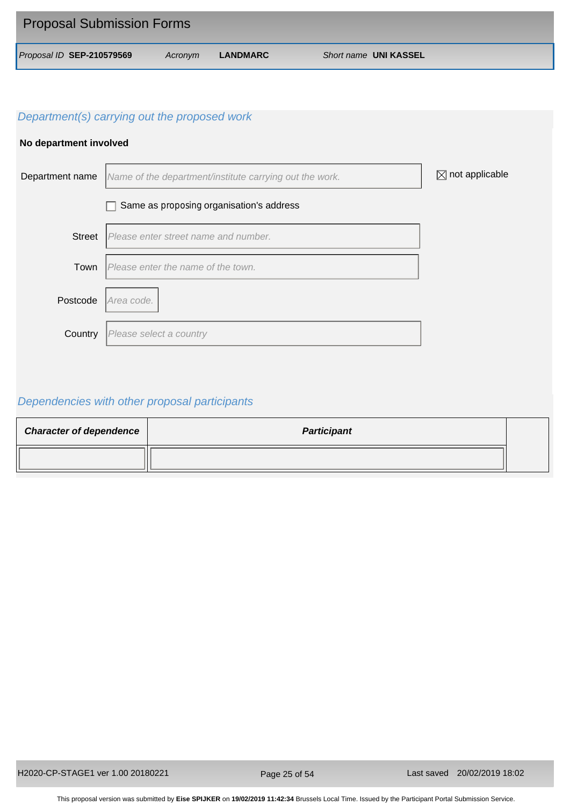| <b>Proposal Submission Forms</b> |         |          |                       |
|----------------------------------|---------|----------|-----------------------|
| Proposal ID SEP-210579569        | Acronym | LANDMARC | Short name UNI KASSEL |

## **No department involved**



# *Dependencies with other proposal participants*

| <b>Character of dependence</b> | <b>Participant</b> |  |
|--------------------------------|--------------------|--|
|                                |                    |  |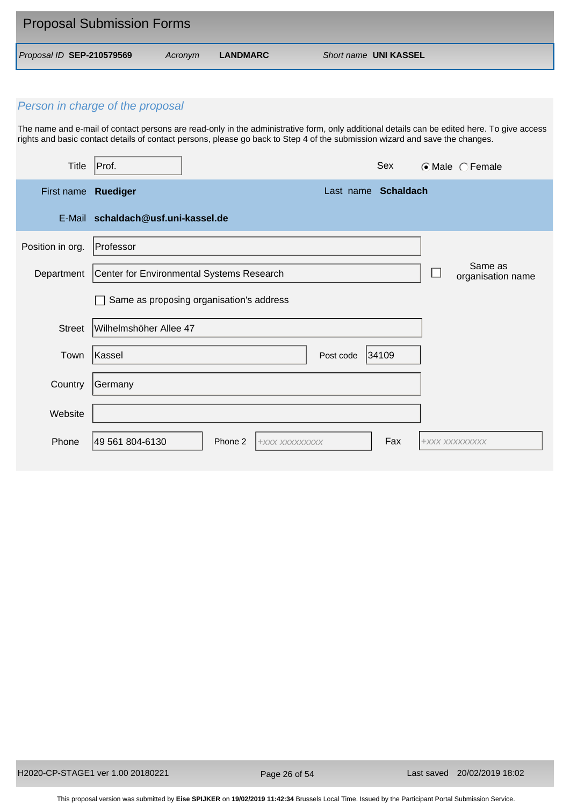| <b>Proposal Submission Forms</b> |         |          |                       |
|----------------------------------|---------|----------|-----------------------|
| Proposal ID SEP-210579569        | Acronym | LANDMARC | Short name UNI KASSEL |

The name and e-mail of contact persons are read-only in the administrative form, only additional details can be edited here. To give access rights and basic contact details of contact persons, please go back to Step 4 of the submission wizard and save the changes.

| Title               | Prot.                                        | Sex                 | $\odot$ Male $\odot$ Female  |
|---------------------|----------------------------------------------|---------------------|------------------------------|
| First name Ruediger |                                              | Last name Schaldach |                              |
|                     | E-Mail schaldach@usf.uni-kassel.de           |                     |                              |
| Position in org.    | Professor                                    |                     |                              |
| Department          | Center for Environmental Systems Research    |                     | Same as<br>organisation name |
|                     | Same as proposing organisation's address     |                     |                              |
| <b>Street</b>       | Wilhelmshöher Allee 47                       |                     |                              |
| Town                | Kassel                                       | Post code<br>34109  |                              |
| Country             | Germany                                      |                     |                              |
| Website             |                                              |                     |                              |
| Phone               | 49 561 804-6130<br>Phone 2<br>+XXX XXXXXXXXX | Fax                 | +XXX XXXXXXXXX               |

Page 26 of 54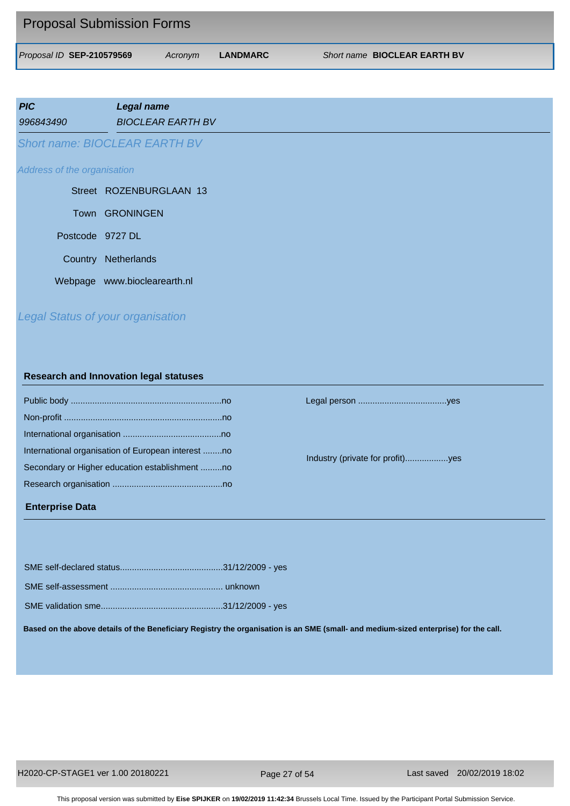| <b>Proposal Submission Forms</b> |         |          |                                     |
|----------------------------------|---------|----------|-------------------------------------|
| Proposal ID SEP-210579569        | Acronym | LANDMARC | Short name <b>BIOCLEAR EARTH BV</b> |

| <b>PIC</b> |                             | <b>Legal name</b>                        |
|------------|-----------------------------|------------------------------------------|
| 996843490  |                             | <b>BIOCLEAR EARTH BV</b>                 |
|            |                             | <b>Short name: BIOCLEAR EARTH BV</b>     |
|            | Address of the organisation |                                          |
|            |                             | Street ROZENBURGLAAN 13                  |
|            |                             | Town GRONINGEN                           |
|            | Postcode 9727 DL            |                                          |
|            |                             | Country Netherlands                      |
|            |                             | Webpage www.bioclearearth.nl             |
|            |                             | <b>Legal Status of your organisation</b> |

#### **Research and Innovation legal statuses**

| International organisation of European interest no |
|----------------------------------------------------|
| Secondary or Higher education establishment no     |
|                                                    |
|                                                    |

#### **Enterprise Data**

Public body ...............................................................no Legal person .....................................yes

Industry (private for profit)..................yes

**Based on the above details of the Beneficiary Registry the organisation is an SME (small- and medium-sized enterprise) for the call.**

Page 27 of 54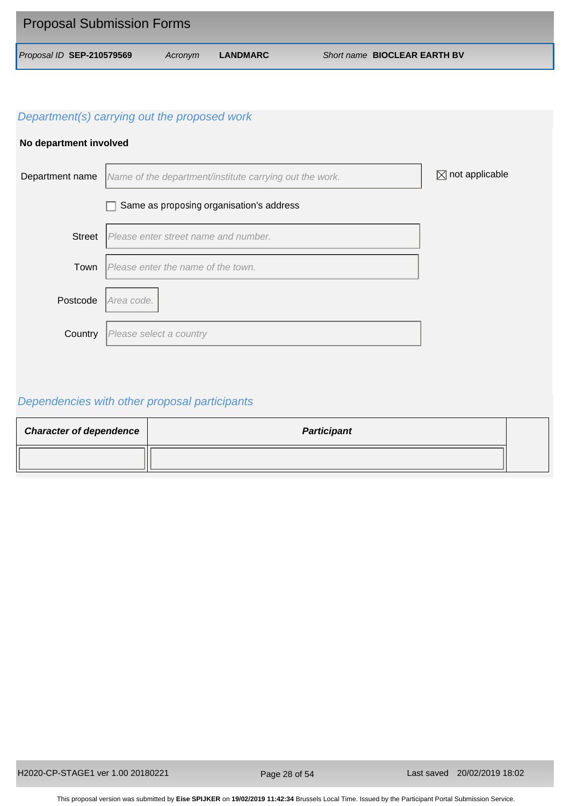| <b>Proposal Submission Forms</b> |         |          |                              |
|----------------------------------|---------|----------|------------------------------|
| Proposal ID SEP-210579569        | Acronym | LANDMARC | Short name BIOCLEAR EARTH BV |

## **No department involved**



# *Dependencies with other proposal participants*

| <b>Character of dependence</b> | <b>Participant</b> |  |
|--------------------------------|--------------------|--|
|                                |                    |  |

Page 28 of 54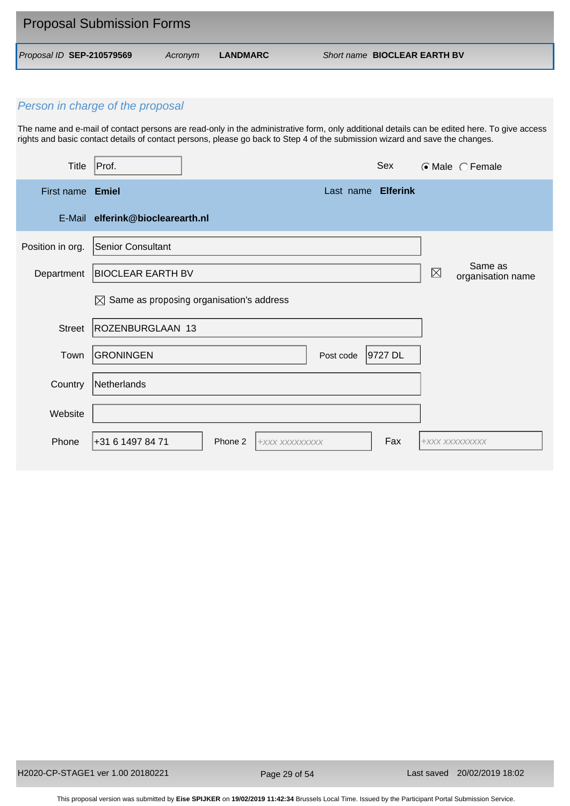| <b>Proposal Submission Forms</b> |         |          |                                     |  |
|----------------------------------|---------|----------|-------------------------------------|--|
| Proposal ID SEP-210579569        | Acronvm | LANDMARC | Short name <b>BIOCLEAR EARTH BV</b> |  |

The name and e-mail of contact persons are read-only in the administrative form, only additional details can be edited here. To give access rights and basic contact details of contact persons, please go back to Step 4 of the submission wizard and save the changes.

| Title            | Prof.                                                |         |                |           | Sex                |                | $\odot$ Male $\odot$ Female  |
|------------------|------------------------------------------------------|---------|----------------|-----------|--------------------|----------------|------------------------------|
| First name Emiel |                                                      |         |                |           | Last name Elferink |                |                              |
|                  | E-Mail elferink@bioclearearth.nl                     |         |                |           |                    |                |                              |
| Position in org. | Senior Consultant                                    |         |                |           |                    |                |                              |
| Department       | <b>BIOCLEAR EARTH BV</b>                             |         |                |           |                    | $\boxtimes$    | Same as<br>organisation name |
|                  | $\boxtimes$ Same as proposing organisation's address |         |                |           |                    |                |                              |
| <b>Street</b>    | ROZENBURGLAAN 13                                     |         |                |           |                    |                |                              |
| Town             | <b>GRONINGEN</b>                                     |         |                | Post code | 9727 DL            |                |                              |
| Country          | Netherlands                                          |         |                |           |                    |                |                              |
| Website          |                                                      |         |                |           |                    |                |                              |
| Phone            | +31 6 1497 84 71                                     | Phone 2 | +XXX XXXXXXXXX |           | Fax                | +XXX XXXXXXXXX |                              |

Page 29 of 54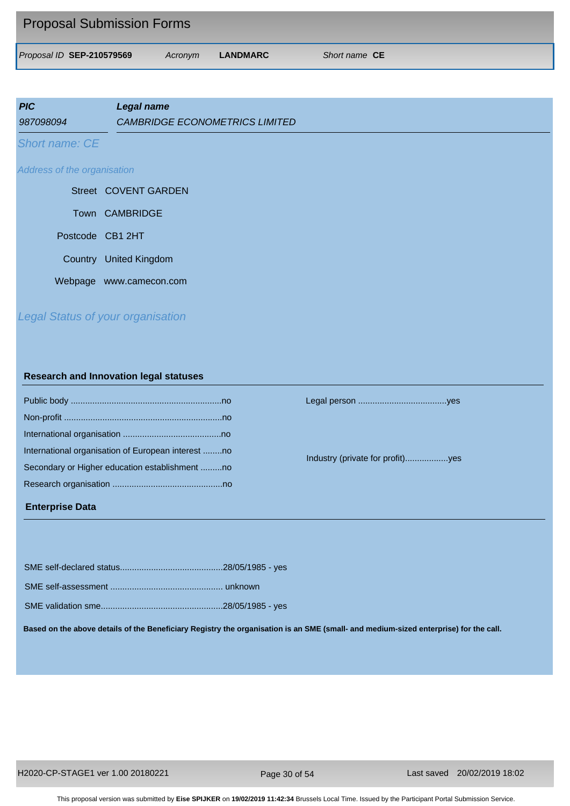| <b>Proposal Submission Forms</b> |         |          |                      |
|----------------------------------|---------|----------|----------------------|
| Proposal ID SEP-210579569        | Acronym | LANDMARC | Short name <b>CE</b> |

| <b>PIC</b><br>987098094     | <b>Legal name</b><br><b>CAMBRIDGE ECONOMETRICS LIMITED</b> |
|-----------------------------|------------------------------------------------------------|
| Short name: CE              |                                                            |
| Address of the organisation |                                                            |
|                             | Street COVENT GARDEN                                       |
|                             | Town CAMBRIDGE                                             |
|                             | Postcode CB1 2HT                                           |
| Country                     | <b>United Kingdom</b>                                      |
|                             | Webpage www.camecon.com                                    |
|                             |                                                            |

# *Legal Status of your organisation*

#### **Research and Innovation legal statuses**

| International organisation of European interest no |
|----------------------------------------------------|
| Secondary or Higher education establishment no     |
|                                                    |
|                                                    |

## **Enterprise Data**

Public body ...............................................................no Legal person .....................................yes

Industry (private for profit)..................yes

**Based on the above details of the Beneficiary Registry the organisation is an SME (small- and medium-sized enterprise) for the call.**

Page 30 of 54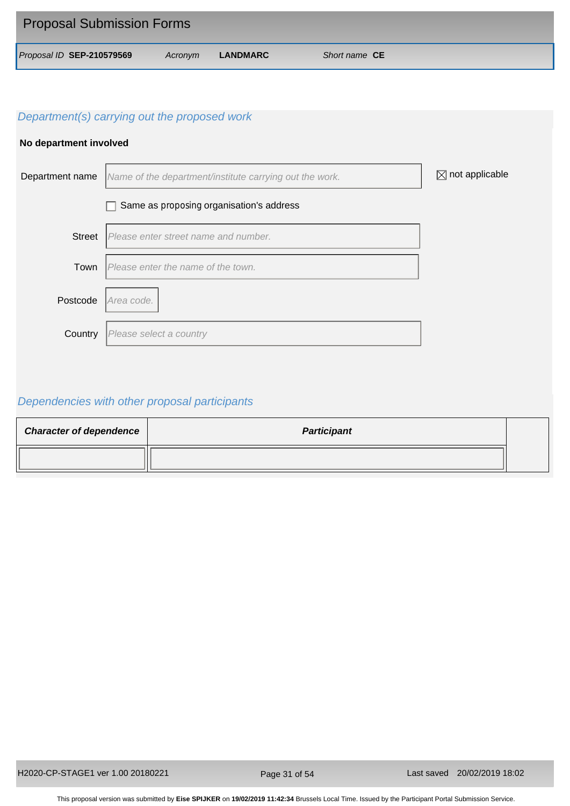| <b>Proposal Submission Forms</b> |         |          |                      |
|----------------------------------|---------|----------|----------------------|
| Proposal ID SEP-210579569        | Acronym | LANDMARC | Short name <b>CE</b> |

## **No department involved**



# *Dependencies with other proposal participants*

| <b>Character of dependence</b> | <b>Participant</b> |  |
|--------------------------------|--------------------|--|
|                                |                    |  |

Page 31 of 54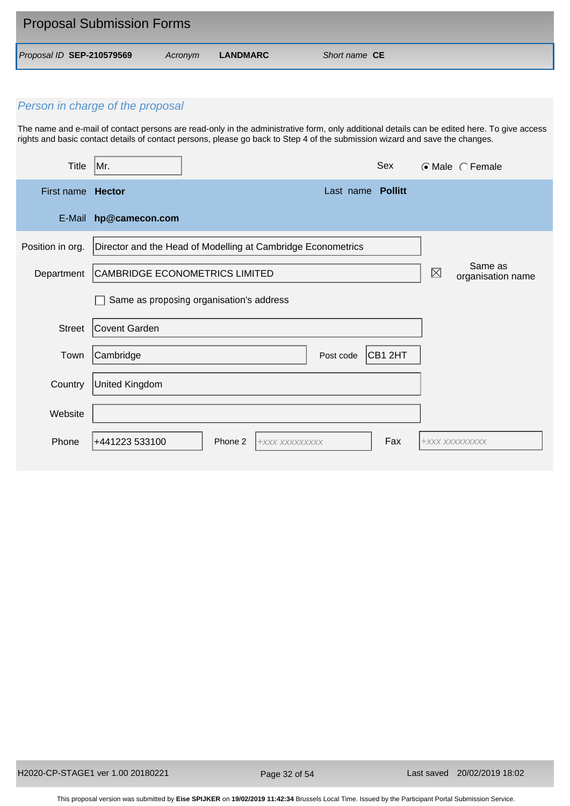| <b>Proposal Submission Forms</b> |         |          |                      |  |
|----------------------------------|---------|----------|----------------------|--|
| Proposal ID SEP-210579569        | Acronvm | LANDMARC | Short name <b>CE</b> |  |

The name and e-mail of contact persons are read-only in the administrative form, only additional details can be edited here. To give access rights and basic contact details of contact persons, please go back to Step 4 of the submission wizard and save the changes.

| <b>Title</b>             | Mr.                            |                                                              |                | Sex               |                | $\odot$ Male $\odot$ Female  |
|--------------------------|--------------------------------|--------------------------------------------------------------|----------------|-------------------|----------------|------------------------------|
| First name <b>Hector</b> |                                |                                                              |                | Last name Pollitt |                |                              |
| E-Mail                   | hp@camecon.com                 |                                                              |                |                   |                |                              |
| Position in org.         |                                | Director and the Head of Modelling at Cambridge Econometrics |                |                   |                |                              |
| Department               | CAMBRIDGE ECONOMETRICS LIMITED |                                                              |                |                   | $\boxtimes$    | Same as<br>organisation name |
|                          |                                | Same as proposing organisation's address                     |                |                   |                |                              |
| Street                   | Covent Garden                  |                                                              |                |                   |                |                              |
| Town                     | Cambridge                      |                                                              | Post code      | CB1 2HT           |                |                              |
| Country                  | <b>United Kingdom</b>          |                                                              |                |                   |                |                              |
| Website                  |                                |                                                              |                |                   |                |                              |
| Phone                    | +441223 533100                 | Phone 2                                                      | +XXX XXXXXXXXX | Fax               | +XXX XXXXXXXXX |                              |

Page 32 of 54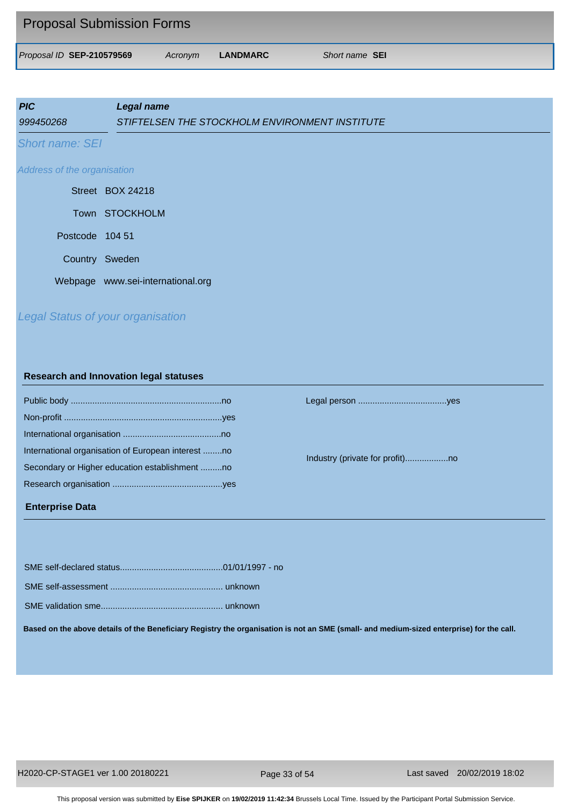| <b>Proposal Submission Forms</b> |         |          |                       |
|----------------------------------|---------|----------|-----------------------|
| Proposal ID SEP-210579569        | Acronym | LANDMARC | Short name <b>SEI</b> |

| <b>PIC</b><br>999450268     | <b>Legal name</b><br>STIFTELSEN THE STOCKHOLM ENVIRONMENT INSTITUTE |
|-----------------------------|---------------------------------------------------------------------|
| <b>Short name: SEI</b>      |                                                                     |
| Address of the organisation |                                                                     |
|                             | Street BOX 24218                                                    |
|                             | Town STOCKHOLM                                                      |
| Postcode 104 51             |                                                                     |
|                             | Country Sweden                                                      |
|                             | Webpage www.sei-international.org                                   |
|                             |                                                                     |

*Legal Status of your organisation*

## **Research and Innovation legal statuses**

| International organisation of European interest no |
|----------------------------------------------------|
| Secondary or Higher education establishment no     |
|                                                    |
|                                                    |

#### **Enterprise Data**

Public body ...............................................................no Legal person .....................................yes

Industry (private for profit)..................no

SME self-declared status...........................................01/01/1997 - no

SME self-assessment ............................................... unknown

SME validation sme................................................... unknown

**Based on the above details of the Beneficiary Registry the organisation is not an SME (small- and medium-sized enterprise) for the call.**

Page 33 of 54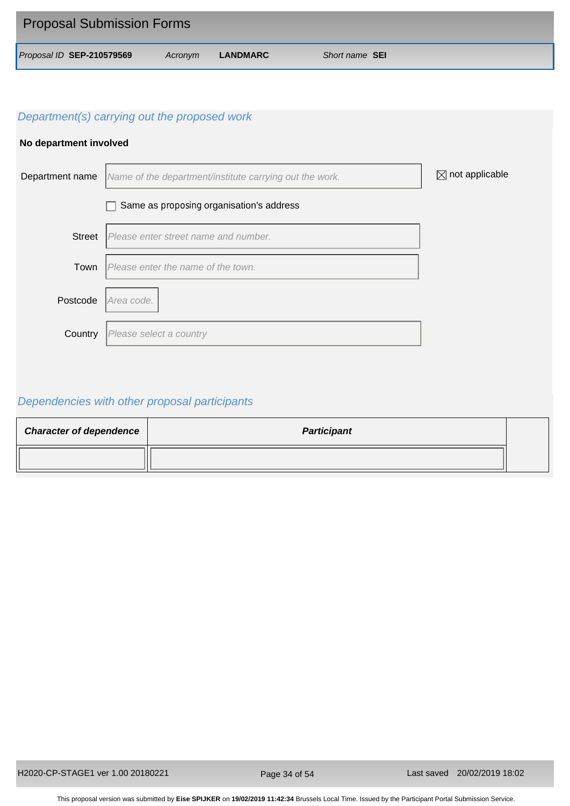| <b>Proposal Submission Forms</b> |         |          |                       |
|----------------------------------|---------|----------|-----------------------|
| Proposal ID SEP-210579569        | Acronym | LANDMARC | Short name <b>SEI</b> |

## **No department involved**



# *Dependencies with other proposal participants*

| <b>Character of dependence</b> | <b>Participant</b> |  |
|--------------------------------|--------------------|--|
|                                |                    |  |

Page 34 of 54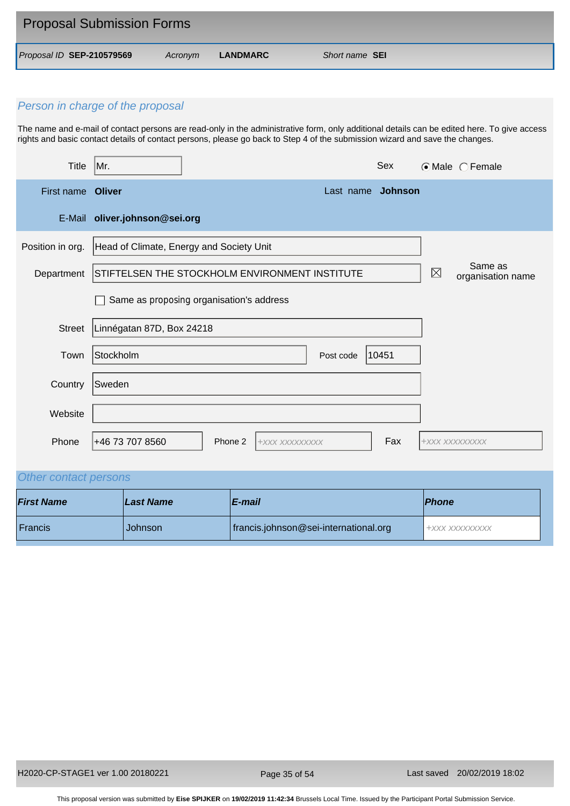| <b>Proposal Submission Forms</b> |         |          |                       |
|----------------------------------|---------|----------|-----------------------|
| Proposal ID SEP-210579569        | Acronvm | LANDMARC | Short name <b>SEI</b> |

The name and e-mail of contact persons are read-only in the administrative form, only additional details can be edited here. To give access rights and basic contact details of contact persons, please go back to Step 4 of the submission wizard and save the changes.

| <b>Title</b>      | Mr.                                      | Sex                                            |             | ⊙Male CFemale                |  |  |  |
|-------------------|------------------------------------------|------------------------------------------------|-------------|------------------------------|--|--|--|
| First name Oliver | Last name Johnson                        |                                                |             |                              |  |  |  |
| E-Mail            | oliver.johnson@sei.org                   |                                                |             |                              |  |  |  |
| Position in org.  | Head of Climate, Energy and Society Unit |                                                |             |                              |  |  |  |
| Department        |                                          | STIFTELSEN THE STOCKHOLM ENVIRONMENT INSTITUTE | $\boxtimes$ | Same as<br>organisation name |  |  |  |
|                   | Same as proposing organisation's address |                                                |             |                              |  |  |  |
| <b>Street</b>     | Linnégatan 87D, Box 24218                |                                                |             |                              |  |  |  |
| Town              | Stockholm                                | 10451<br>Post code                             |             |                              |  |  |  |
| Country           | Sweden                                   |                                                |             |                              |  |  |  |
| Website           |                                          |                                                |             |                              |  |  |  |
| Phone             | +46 73 707 8560                          | Fax<br>Phone 2<br>+XXX XXXXXXXXX               |             | +XXX XXXXXXXXX               |  |  |  |

# *Other contact persons*

| <b>First Name</b> | <b>Last Name</b> | ∣E-mail                               | <b>Phone</b>   |
|-------------------|------------------|---------------------------------------|----------------|
| Francis           | <b>Johnson</b>   | francis.johnson@sei-international.org | +XXX XXXXXXXXX |

Page 35 of 54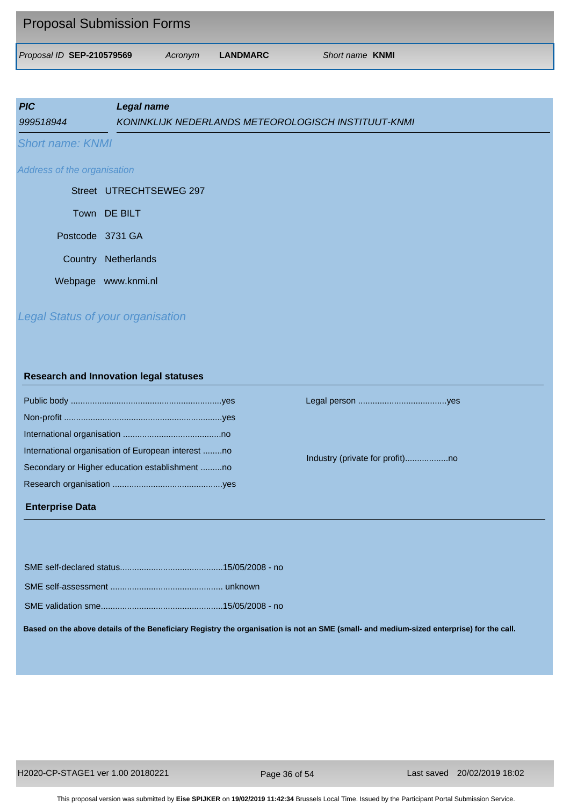| <b>Proposal Submission Forms</b> |         |          |                        |
|----------------------------------|---------|----------|------------------------|
| Proposal ID SEP-210579569        | Acronvm | LANDMARC | Short name <b>KNMI</b> |

| <b>PIC</b><br>999518944     | Legal name<br>KONINKLIJK NEDERLANDS METEOROLOGISCH INSTITUUT-KNMI |
|-----------------------------|-------------------------------------------------------------------|
| <b>Short name: KNMI</b>     |                                                                   |
| Address of the organisation |                                                                   |
|                             | Street UTRECHTSEWEG 297                                           |
| Town DE BILT                |                                                                   |
| Postcode 3731 GA            |                                                                   |
| Country                     | Netherlands                                                       |
| Webpage                     | www.knmi.nl                                                       |

# *Legal Status of your organisation*

#### **Research and Innovation legal statuses**

| International organisation of European interest no |  |
|----------------------------------------------------|--|
| Secondary or Higher education establishment no     |  |
|                                                    |  |
|                                                    |  |

#### **Enterprise Data**

Public body ...............................................................yes Legal person .....................................yes

Industry (private for profit)..................no

**Based on the above details of the Beneficiary Registry the organisation is not an SME (small- and medium-sized enterprise) for the call.**

Page 36 of 54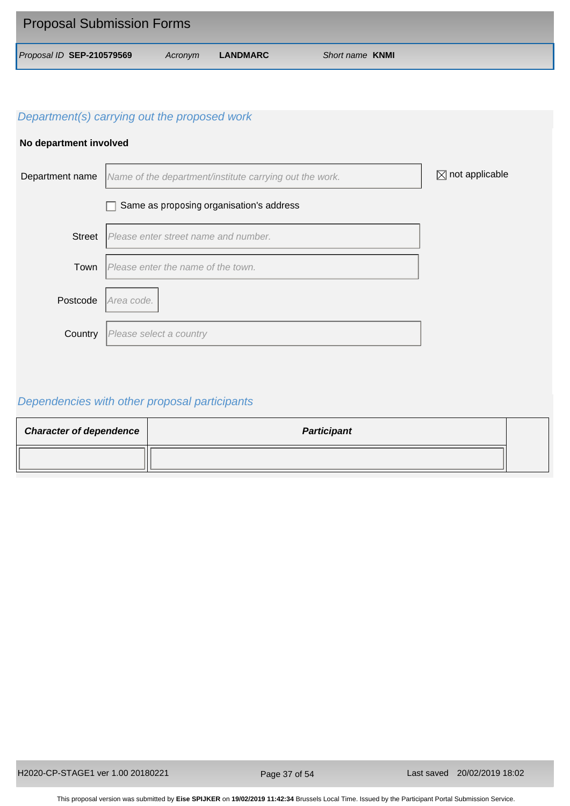| <b>Proposal Submission Forms</b> |         |          |                        |
|----------------------------------|---------|----------|------------------------|
| Proposal ID SEP-210579569        | Acronym | LANDMARC | Short name <b>KNMI</b> |

## **No department involved**



# *Dependencies with other proposal participants*

| <b>Character of dependence</b> | <b>Participant</b> |  |
|--------------------------------|--------------------|--|
|                                |                    |  |

Page 37 of 54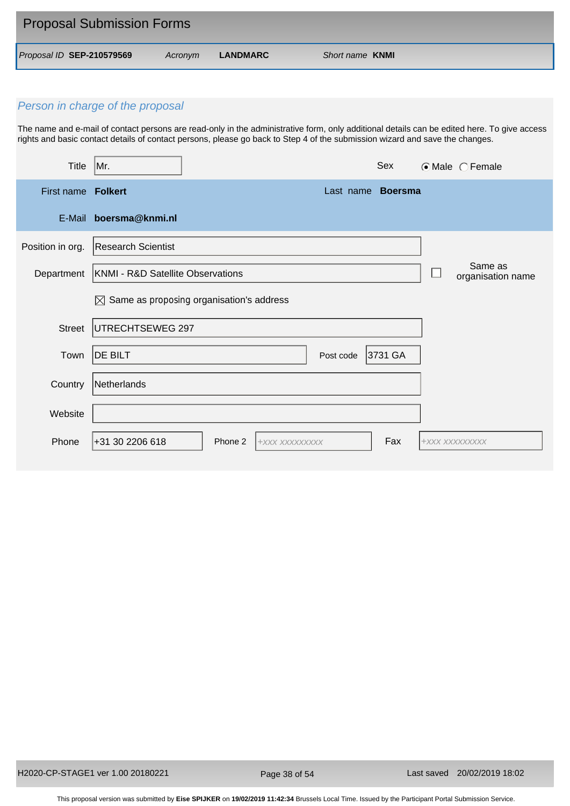| <b>Proposal Submission Forms</b> |         |          |                        |
|----------------------------------|---------|----------|------------------------|
| Proposal ID SEP-210579569        | Acronym | LANDMARC | Short name <b>KNMI</b> |

The name and e-mail of contact persons are read-only in the administrative form, only additional details can be edited here. To give access rights and basic contact details of contact persons, please go back to Step 4 of the submission wizard and save the changes.

| <b>Title</b>       | Mr.                                                  |         |                |           | Sex                      |                | $\odot$ Male $\odot$ Female  |
|--------------------|------------------------------------------------------|---------|----------------|-----------|--------------------------|----------------|------------------------------|
| First name Folkert |                                                      |         |                |           | Last name <b>Boersma</b> |                |                              |
| E-Mail             | boersma@knmi.nl                                      |         |                |           |                          |                |                              |
| Position in org.   | <b>Research Scientist</b>                            |         |                |           |                          |                |                              |
| Department         | KNMI - R&D Satellite Observations                    |         |                |           |                          |                | Same as<br>organisation name |
|                    | $\boxtimes$ Same as proposing organisation's address |         |                |           |                          |                |                              |
| <b>Street</b>      | UTRECHTSEWEG 297                                     |         |                |           |                          |                |                              |
| Town               | <b>DE BILT</b>                                       |         |                | Post code | 3731 GA                  |                |                              |
| Country            | Netherlands                                          |         |                |           |                          |                |                              |
| Website            |                                                      |         |                |           |                          |                |                              |
| Phone              | +31 30 2206 618                                      | Phone 2 | +xxx xxxxxxxxx |           | Fax                      | +XXX XXXXXXXXX |                              |

Page 38 of 54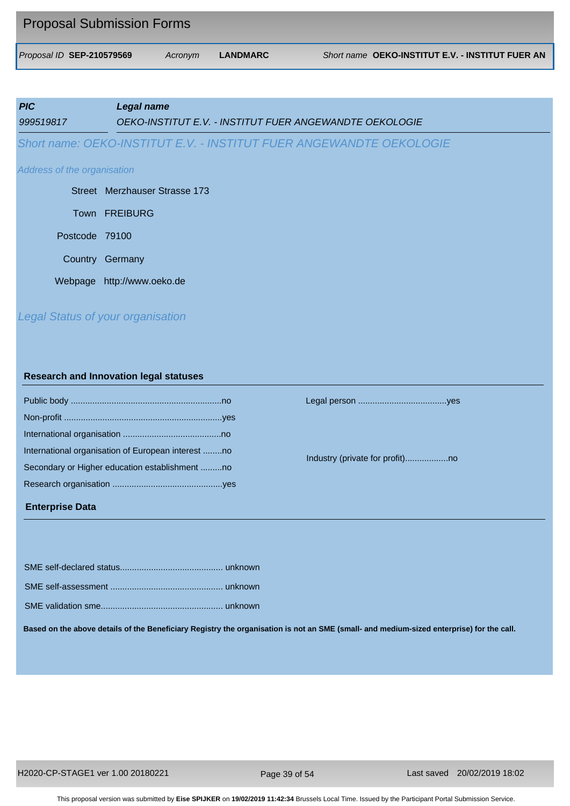| <b>Proposal Submission Forms</b> |         |          |                                                  |
|----------------------------------|---------|----------|--------------------------------------------------|
| Proposal ID SEP-210579569        | Acronym | LANDMARC | Short name OEKO-INSTITUT E.V. - INSTITUT FUER AN |

| <b>PIC</b><br>999519817     | Legal name<br>OEKO-INSTITUT E.V. - INSTITUT FUER ANGEWANDTE OEKOLOGIE |
|-----------------------------|-----------------------------------------------------------------------|
|                             | Short name: OEKO-INSTITUT E.V. - INSTITUT FUER ANGEWANDTE OEKOLOGIE   |
| Address of the organisation |                                                                       |
|                             | Street Merzhauser Strasse 173                                         |
|                             | Town FREIBURG                                                         |
| Postcode 79100              |                                                                       |
|                             | Country Germany                                                       |
|                             | Webpage http://www.oeko.de                                            |
|                             |                                                                       |

# *Legal Status of your organisation*

#### **Research and Innovation legal statuses**

| International organisation of European interest no |
|----------------------------------------------------|
| Secondary or Higher education establishment no     |
|                                                    |
|                                                    |

#### **Enterprise Data**

Public body ...............................................................no Legal person .....................................yes

Industry (private for profit)..................no

**Based on the above details of the Beneficiary Registry the organisation is not an SME (small- and medium-sized enterprise) for the call.**

Page 39 of 54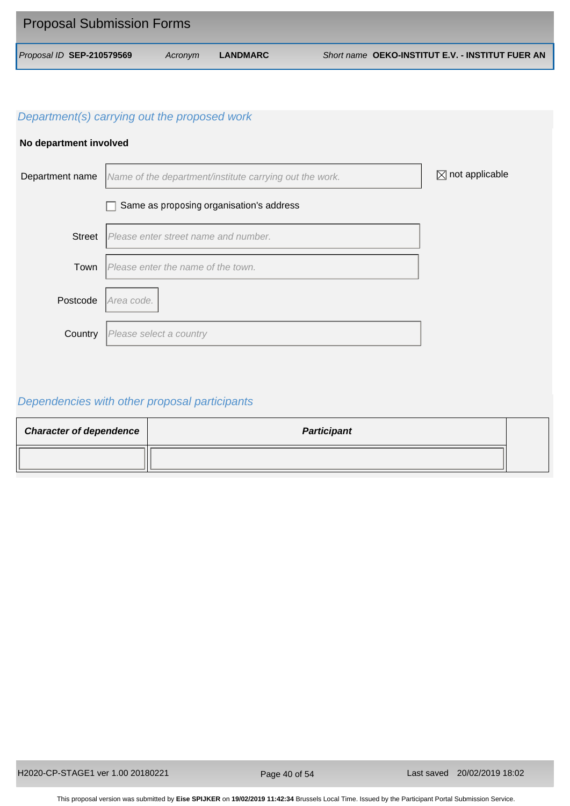| <b>Proposal Submission Forms</b> |         |          |                                                  |
|----------------------------------|---------|----------|--------------------------------------------------|
| Proposal ID SEP-210579569        | Acronym | LANDMARC | Short name OEKO-INSTITUT E.V. - INSTITUT FUER AN |

## **No department involved**



# *Dependencies with other proposal participants*

| <b>Character of dependence</b> | <b>Participant</b> |  |
|--------------------------------|--------------------|--|
|                                |                    |  |

Page 40 of 54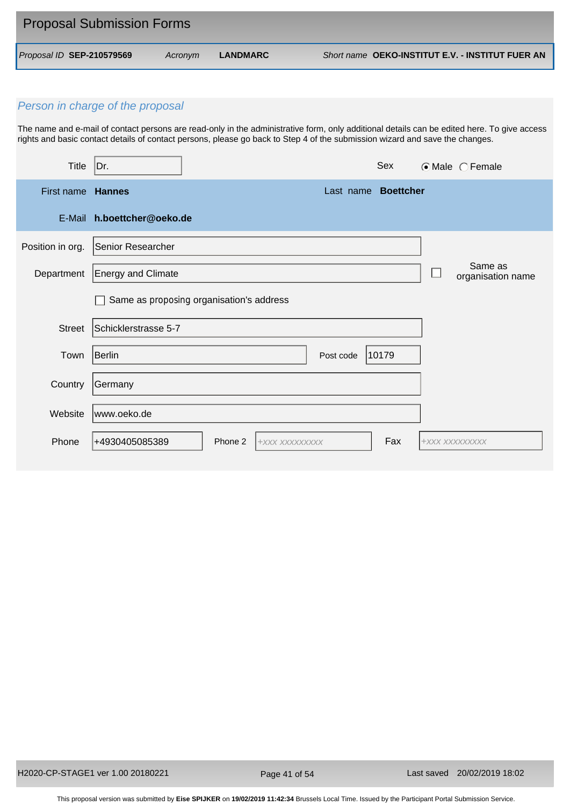| <b>Proposal Submission Forms</b> |         |          |                                                  |
|----------------------------------|---------|----------|--------------------------------------------------|
| Proposal ID SEP-210579569        | Acronym | LANDMARC | Short name OEKO-INSTITUT E.V. - INSTITUT FUER AN |

The name and e-mail of contact persons are read-only in the administrative form, only additional details can be edited here. To give access rights and basic contact details of contact persons, please go back to Step 4 of the submission wizard and save the changes.

| Title            | Dr.                        |                                          |                     | Sex   | $\odot$ Male $\odot$ Female  |
|------------------|----------------------------|------------------------------------------|---------------------|-------|------------------------------|
| First name       | <b>Hannes</b>              |                                          | Last name Boettcher |       |                              |
|                  | E-Mail h.boettcher@oeko.de |                                          |                     |       |                              |
| Position in org. | Senior Researcher          |                                          |                     |       |                              |
| Department       | <b>Energy and Climate</b>  |                                          |                     |       | Same as<br>organisation name |
|                  |                            | Same as proposing organisation's address |                     |       |                              |
| <b>Street</b>    | Schicklerstrasse 5-7       |                                          |                     |       |                              |
| Town             | Berlin                     |                                          | Post code           | 10179 |                              |
| Country          | Germany                    |                                          |                     |       |                              |
| Website          | www.oeko.de                |                                          |                     |       |                              |
| Phone            | +4930405085389             | Phone 2<br>+XXX XXXXXXXXX                |                     | Fax   | +XXX XXXXXXXXX               |

Page 41 of 54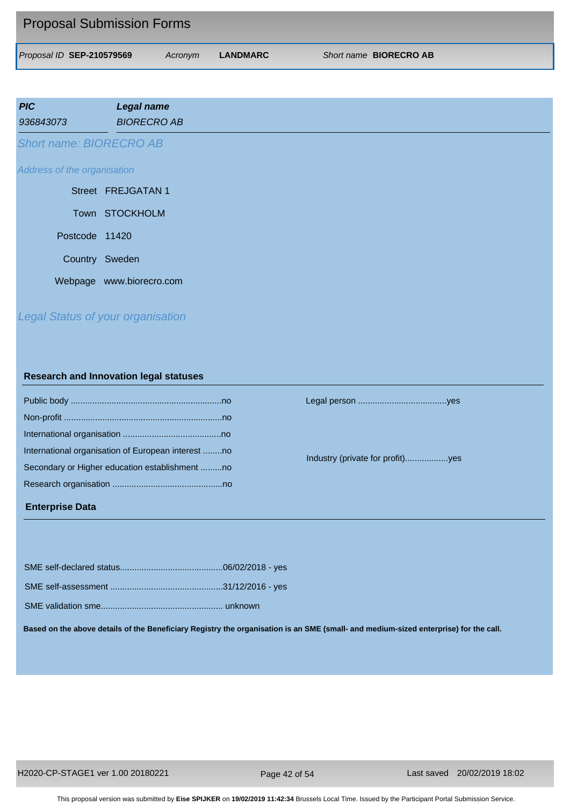| <b>Proposal Submission Forms</b> |         |          |                               |
|----------------------------------|---------|----------|-------------------------------|
| Proposal ID SEP-210579569        | Acronvm | LANDMARC | Short name <b>BIORECRO AB</b> |

| <b>PIC</b><br>936843073        | <b>Legal name</b><br><b>BIORECRO AB</b> |
|--------------------------------|-----------------------------------------|
| <b>Short name: BIORECRO AB</b> |                                         |
| Address of the organisation    |                                         |
|                                | Street FREJGATAN 1                      |
|                                | Town STOCKHOLM                          |
| Postcode 11420                 |                                         |
| Country Sweden                 |                                         |
|                                | Webpage www.biorecro.com                |

# *Legal Status of your organisation*

#### **Research and Innovation legal statuses**

| International organisation of European interest no |
|----------------------------------------------------|
| Secondary or Higher education establishment no     |
|                                                    |
|                                                    |

## **Enterprise Data**

Public body ...............................................................no Legal person .....................................yes

Industry (private for profit)..................yes

SME validation sme................................................... unknown

**Based on the above details of the Beneficiary Registry the organisation is an SME (small- and medium-sized enterprise) for the call.**

Page 42 of 54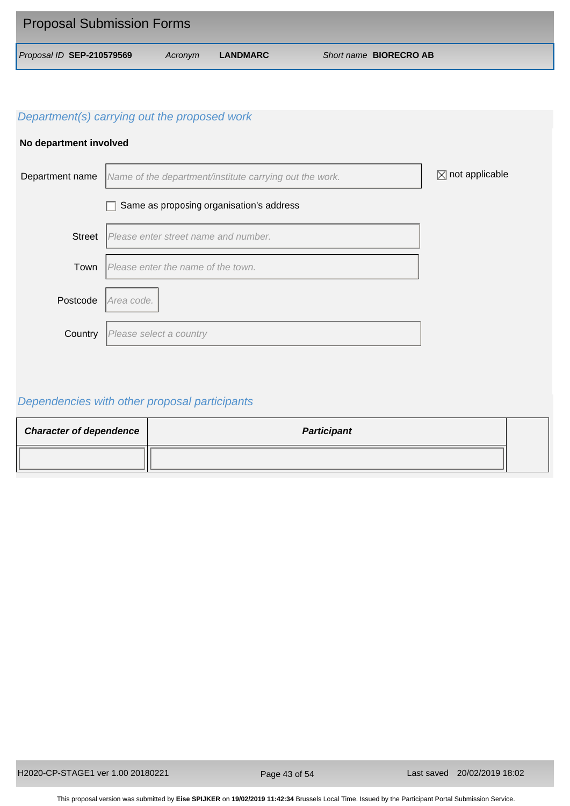| <b>Proposal Submission Forms</b> |         |          |                               |
|----------------------------------|---------|----------|-------------------------------|
| Proposal ID SEP-210579569        | Acronym | LANDMARC | Short name <b>BIORECRO AB</b> |

## **No department involved**



# *Dependencies with other proposal participants*

| <b>Character of dependence</b> | <b>Participant</b> |  |
|--------------------------------|--------------------|--|
|                                |                    |  |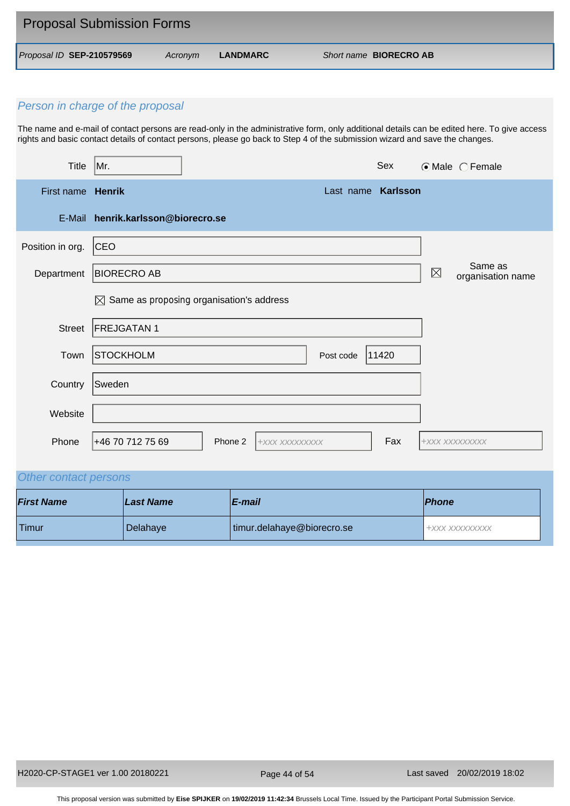| <b>Proposal Submission Forms</b> |         |          |                               |
|----------------------------------|---------|----------|-------------------------------|
| Proposal ID SEP-210579569        | Acronvm | LANDMARC | Short name <b>BIORECRO AB</b> |

The name and e-mail of contact persons are read-only in the administrative form, only additional details can be edited here. To give access rights and basic contact details of contact persons, please go back to Step 4 of the submission wizard and save the changes.

| <b>Title</b>      | Mr.                                                  |         |                |           | Sex      |             | $\odot$ Male $\odot$ Female  |
|-------------------|------------------------------------------------------|---------|----------------|-----------|----------|-------------|------------------------------|
| First name Henrik |                                                      |         |                | Last name | Karlsson |             |                              |
| E-Mail            | henrik.karlsson@biorecro.se                          |         |                |           |          |             |                              |
| Position in org.  | <b>CEO</b>                                           |         |                |           |          |             |                              |
| Department        | <b>BIORECRO AB</b>                                   |         |                |           |          | $\boxtimes$ | Same as<br>organisation name |
|                   | $\boxtimes$ Same as proposing organisation's address |         |                |           |          |             |                              |
| <b>Street</b>     | <b>FREJGATAN1</b>                                    |         |                |           |          |             |                              |
| Town              | <b>STOCKHOLM</b>                                     |         |                | Post code | 11420    |             |                              |
| Country           | Sweden                                               |         |                |           |          |             |                              |
| Website           |                                                      |         |                |           |          |             |                              |
| Phone             | +46 70 712 75 69                                     | Phone 2 | +XXX XXXXXXXXX |           | Fax      |             | +XXX XXXXXXXXX               |

# *Other contact persons*

| <b>First Name</b> | Last Name | <b>E-mail</b>              | <b>Phone</b>     |
|-------------------|-----------|----------------------------|------------------|
| Timur             | Delahaye  | timur.delahaye@biorecro.se | 1 +XXX XXXXXXXXX |

Page 44 of 54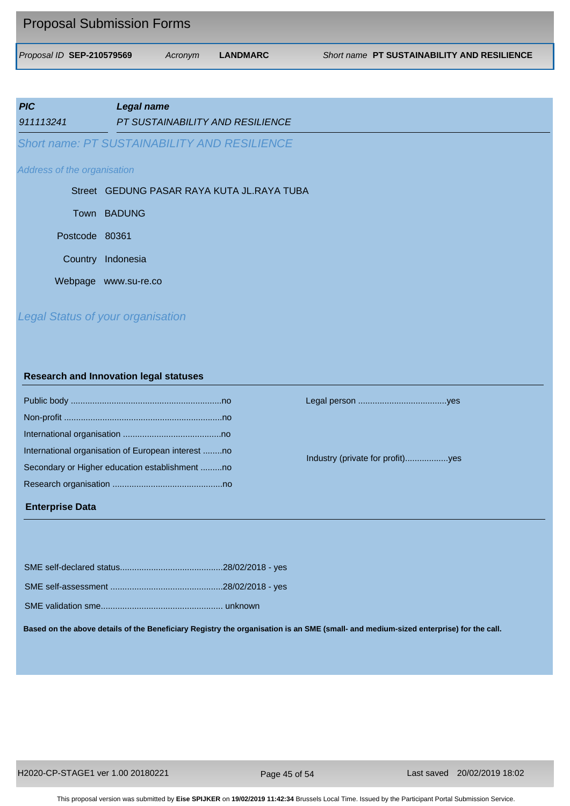| <b>Proposal Submission Forms</b> |         |          |                                             |
|----------------------------------|---------|----------|---------------------------------------------|
| Proposal ID SEP-210579569        | Acronym | LANDMARC | Short name PT SUSTAINABILITY AND RESILIENCE |

| <b>PIC</b>                  | <b>Legal name</b>                                   |
|-----------------------------|-----------------------------------------------------|
| 911113241                   | PT SUSTAINABILITY AND RESILIENCE                    |
|                             | <b>Short name: PT SUSTAINABILITY AND RESILIENCE</b> |
| Address of the organisation |                                                     |
|                             | Street GEDUNG PASAR RAYA KUTA JL.RAYA TUBA          |
|                             | Town BADUNG                                         |
| Postcode 80361              |                                                     |
| Country                     | Indonesia                                           |
|                             | Webpage www.su-re.co                                |
|                             | <b>Legal Status of your organisation</b>            |

# **Research and Innovation legal statuses**

| International organisation of European interest no |
|----------------------------------------------------|
| Secondary or Higher education establishment no     |
|                                                    |
|                                                    |

#### **Enterprise Data**

Public body ...............................................................no Legal person .....................................yes

Industry (private for profit)..................yes

**Based on the above details of the Beneficiary Registry the organisation is an SME (small- and medium-sized enterprise) for the call.**

H2020-CP-STAGE1 ver 1.00 20180221 Last saved 20/02/2019 18:02

Page 45 of 54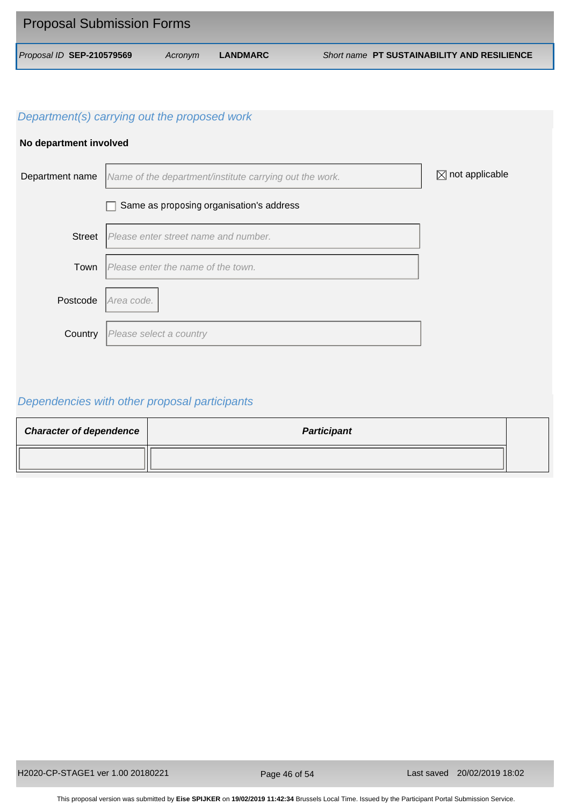| <b>Proposal Submission Forms</b> |         |          |                                                    |
|----------------------------------|---------|----------|----------------------------------------------------|
| Proposal ID SEP-210579569        | Acronym | LANDMARC | <b>Short name PT SUSTAINABILITY AND RESILIENCE</b> |

## **No department involved**



# *Dependencies with other proposal participants*

| <b>Character of dependence</b> | <b>Participant</b> |  |
|--------------------------------|--------------------|--|
|                                |                    |  |

Page 46 of 54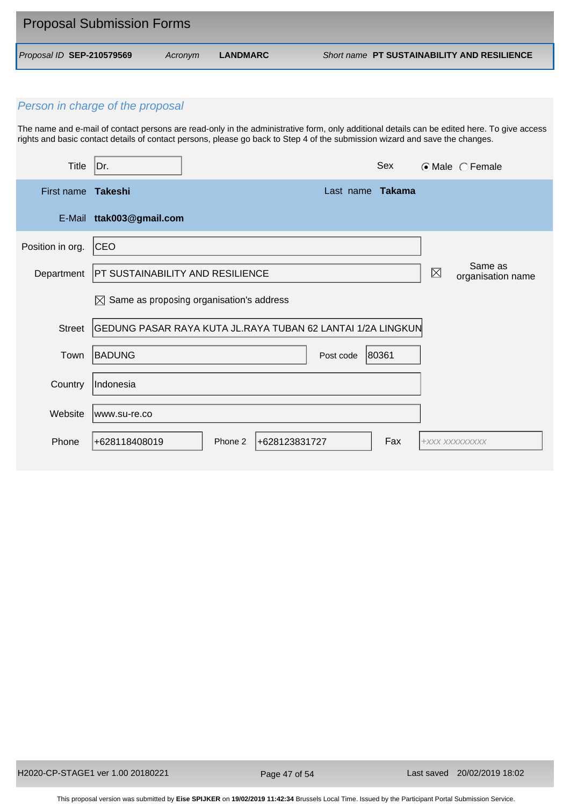| <b>Proposal Submission Forms</b> |         |          |                                                    |
|----------------------------------|---------|----------|----------------------------------------------------|
| Proposal ID SEP-210579569        | Acronym | LANDMARC | <b>Short name PT SUSTAINABILITY AND RESILIENCE</b> |

The name and e-mail of contact persons are read-only in the administrative form, only additional details can be edited here. To give access rights and basic contact details of contact persons, please go back to Step 4 of the submission wizard and save the changes.

| <b>Title</b>     | Dr.                                     |                                                             |                  | Sex   |                | $\odot$ Male $\odot$ Female  |
|------------------|-----------------------------------------|-------------------------------------------------------------|------------------|-------|----------------|------------------------------|
| First name       | Takeshi                                 |                                                             | Last name Takama |       |                |                              |
|                  | E-Mail ttak003@gmail.com                |                                                             |                  |       |                |                              |
| Position in org. | CEO                                     |                                                             |                  |       |                |                              |
| Department       | <b>PT SUSTAINABILITY AND RESILIENCE</b> |                                                             |                  |       | $\boxtimes$    | Same as<br>organisation name |
|                  |                                         | $\boxtimes$ Same as proposing organisation's address        |                  |       |                |                              |
| <b>Street</b>    |                                         | GEDUNG PASAR RAYA KUTA JL.RAYA TUBAN 62 LANTAI 1/2A LINGKUN |                  |       |                |                              |
| Town             | <b>BADUNG</b>                           |                                                             | Post code        | 80361 |                |                              |
| Country          | Indonesia                               |                                                             |                  |       |                |                              |
| Website          | lwww.su-re.co                           |                                                             |                  |       |                |                              |
| Phone            | +628118408019                           | +628123831727<br>Phone 2                                    |                  | Fax   | +XXX XXXXXXXXX |                              |

Page 47 of 54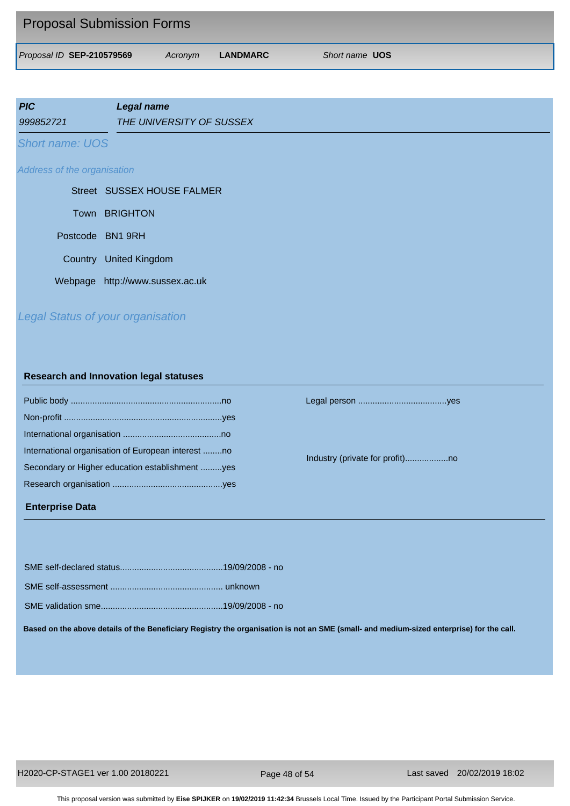| <b>Proposal Submission Forms</b> |         |          |                       |
|----------------------------------|---------|----------|-----------------------|
| Proposal ID SEP-210579569        | Acronym | LANDMARC | Short name <b>UOS</b> |

| <b>PIC</b>                  | <b>Legal name</b>          |
|-----------------------------|----------------------------|
| 999852721                   | THE UNIVERSITY OF SUSSEX   |
| <b>Short name: UOS</b>      |                            |
| Address of the organisation |                            |
|                             | Street SUSSEX HOUSE FALMER |

| Town BRIGHTON                   |
|---------------------------------|
| Postcode BN1 9RH                |
| Country United Kingdom          |
| Webpage http://www.sussex.ac.uk |

# *Legal Status of your organisation*

#### **Research and Innovation legal statuses**

| International organisation of European interest no |  |
|----------------------------------------------------|--|
| Secondary or Higher education establishment yes    |  |
|                                                    |  |
|                                                    |  |

#### **Enterprise Data**

Public body ...............................................................no Legal person .....................................yes

Industry (private for profit)..................no

**Based on the above details of the Beneficiary Registry the organisation is not an SME (small- and medium-sized enterprise) for the call.**

Page 48 of 54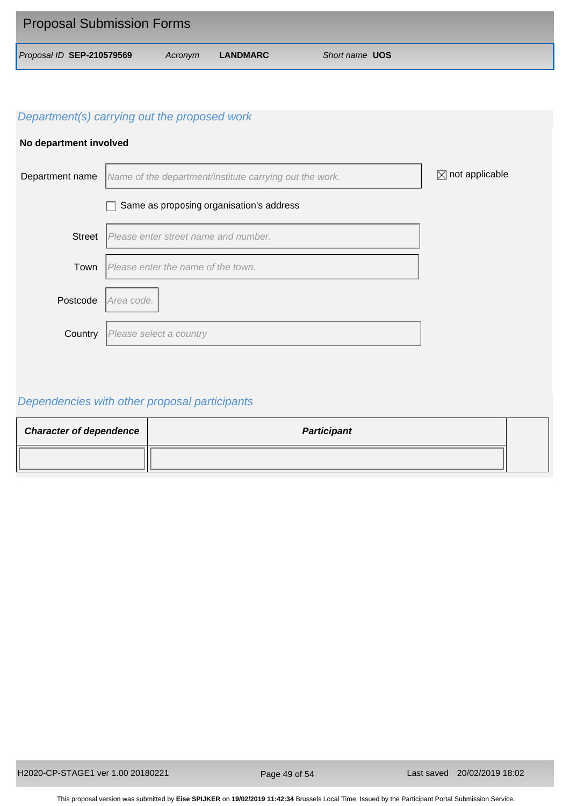| <b>Proposal Submission Forms</b> |         |          |                       |
|----------------------------------|---------|----------|-----------------------|
| Proposal ID SEP-210579569        | Acronym | LANDMARC | Short name <b>UOS</b> |

#### **No department involved**



# *Dependencies with other proposal participants*

| <b>Character of dependence</b> | <b>Participant</b> |  |
|--------------------------------|--------------------|--|
|                                |                    |  |

Page 49 of 54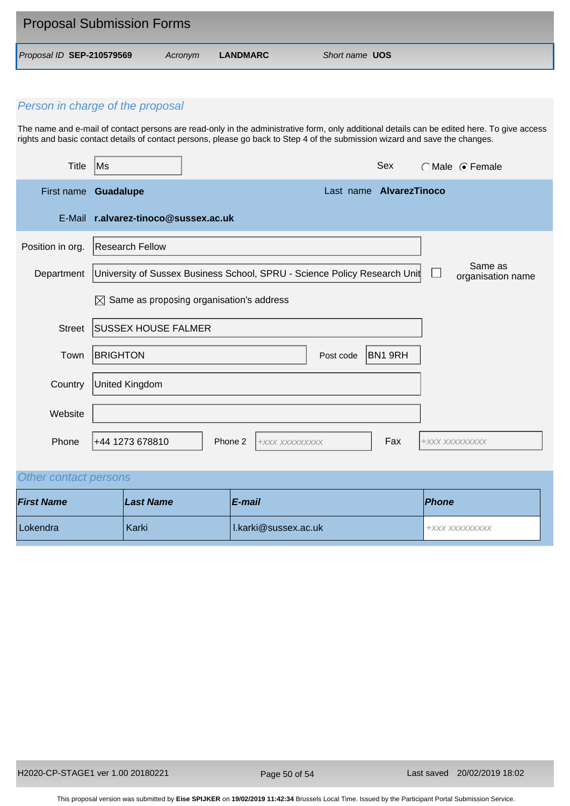| <b>Proposal Submission Forms</b> |         |          |                       |  |  |
|----------------------------------|---------|----------|-----------------------|--|--|
| Proposal ID SEP-210579569        | Acronvm | LANDMARC | Short name <b>UOS</b> |  |  |

The name and e-mail of contact persons are read-only in the administrative form, only additional details can be edited here. To give access rights and basic contact details of contact persons, please go back to Step 4 of the submission wizard and save the changes.

| <b>Title</b>     | Ms                                                                        |         |                |                         | Sex     |                | ○ Male ● Female              |
|------------------|---------------------------------------------------------------------------|---------|----------------|-------------------------|---------|----------------|------------------------------|
| First name       | <b>Guadalupe</b>                                                          |         |                | Last name AlvarezTinoco |         |                |                              |
|                  | E-Mail r.alvarez-tinoco@sussex.ac.uk                                      |         |                |                         |         |                |                              |
| Position in org. | <b>Research Fellow</b>                                                    |         |                |                         |         |                |                              |
| Department       | University of Sussex Business School, SPRU - Science Policy Research Unit |         |                |                         |         |                | Same as<br>organisation name |
|                  | Same as proposing organisation's address<br>$\boxtimes$                   |         |                |                         |         |                |                              |
| <b>Street</b>    | <b>SUSSEX HOUSE FALMER</b>                                                |         |                |                         |         |                |                              |
| Town             | <b>BRIGHTON</b>                                                           |         |                | Post code               | BN1 9RH |                |                              |
| Country          | United Kingdom                                                            |         |                |                         |         |                |                              |
| Website          |                                                                           |         |                |                         |         |                |                              |
| Phone            | +44 1273 678810                                                           | Phone 2 | +XXX XXXXXXXXX |                         | Fax     | +XXX XXXXXXXXX |                              |

# *Other contact persons*

| <b>First Name</b> | Last Name | E-mail               | <b>Phone</b>   |
|-------------------|-----------|----------------------|----------------|
| Lokendra          | Karki     | I.karki@sussex.ac.uk | +XXX XXXXXXXXX |

Page 50 of 54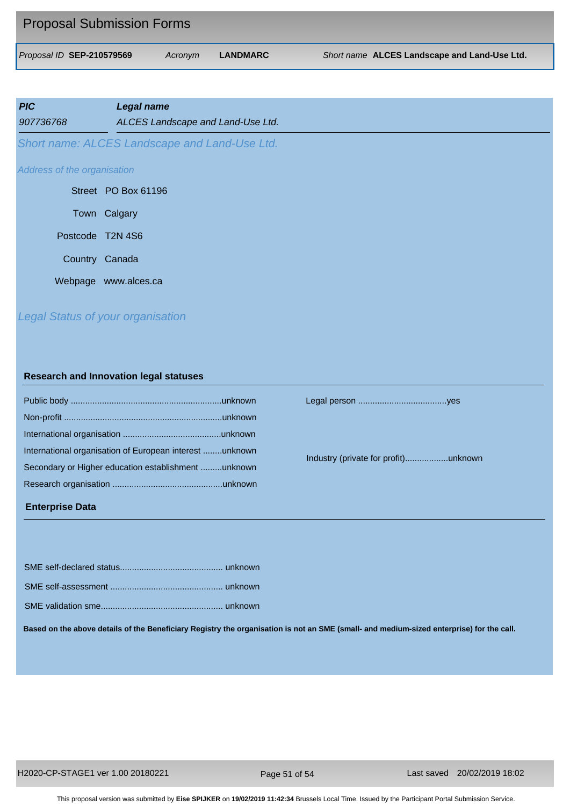| <b>Proposal Submission Forms</b> |         |          |                                              |
|----------------------------------|---------|----------|----------------------------------------------|
| Proposal ID SEP-210579569        | Acronym | LANDMARC | Short name ALCES Landscape and Land-Use Ltd. |

| <b>PIC</b><br>907736768     | <b>Legal name</b><br>ALCES Landscape and Land-Use Ltd. |
|-----------------------------|--------------------------------------------------------|
|                             | Short name: ALCES Landscape and Land-Use Ltd.          |
| Address of the organisation |                                                        |
|                             | Street PO Box 61196                                    |
|                             | Town Calgary                                           |
| Postcode T2N 4S6            |                                                        |
| Country Canada              |                                                        |
|                             | Webpage www.alces.ca                                   |
|                             |                                                        |

# *Legal Status of your organisation*

#### **Research and Innovation legal statuses**

| International organisation of European interest unknown |
|---------------------------------------------------------|
| Secondary or Higher education establishment unknown     |
|                                                         |
|                                                         |

#### **Enterprise Data**

SME self-declared status........................................... unknown SME self-assessment ............................................... unknown SME validation smo.

Public body ...............................................................unknown Legal person .....................................yes

Industry (private for profit)..................unknown

| Based on the above details of the Beneficiary Registry the organisation is not an SME (small- and medium-sized enterprise) for the call. |
|------------------------------------------------------------------------------------------------------------------------------------------|

H2020-CP-STAGE1 ver 1.00 20180221 Last saved 20/02/2019 18:02

Page 51 of 54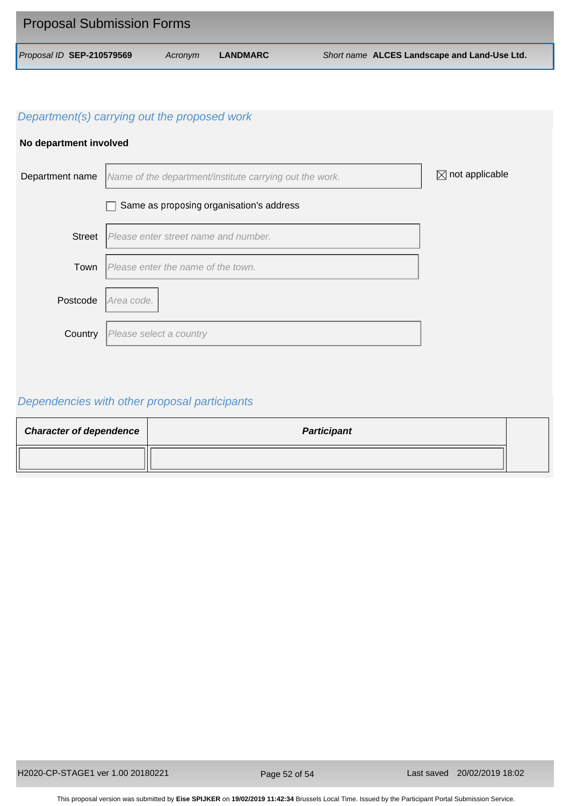| <b>Proposal Submission Forms</b> |         |                 |                                              |
|----------------------------------|---------|-----------------|----------------------------------------------|
| Proposal ID SEP-210579569        | Acronym | <b>LANDMARC</b> | Short name ALCES Landscape and Land-Use Ltd. |

## **No department involved**



# *Dependencies with other proposal participants*

| <b>Character of dependence</b> | <b>Participant</b> |  |
|--------------------------------|--------------------|--|
|                                |                    |  |

Page 52 of 54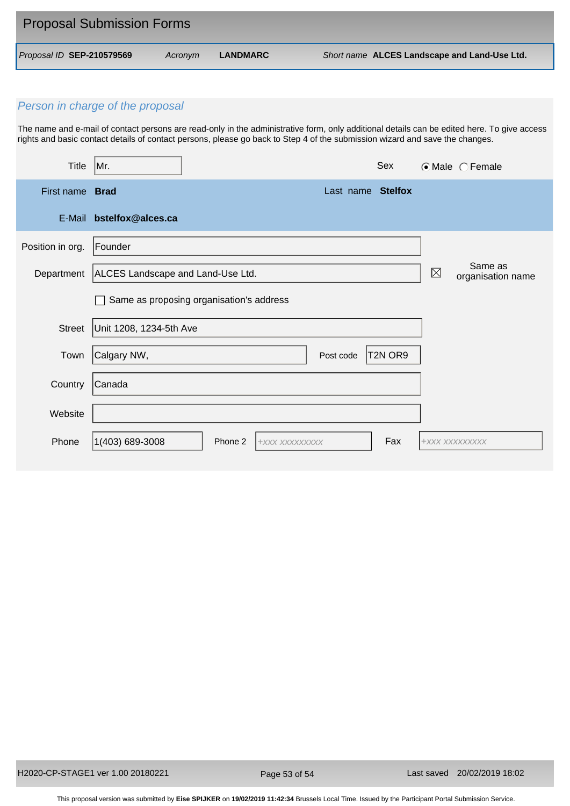| <b>Proposal Submission Forms</b> |         |                 |                                              |
|----------------------------------|---------|-----------------|----------------------------------------------|
| Proposal ID SEP-210579569        | Acronym | <b>LANDMARC</b> | Short name ALCES Landscape and Land-Use Ltd. |

The name and e-mail of contact persons are read-only in the administrative form, only additional details can be edited here. To give access rights and basic contact details of contact persons, please go back to Step 4 of the submission wizard and save the changes.

| <b>Title</b>     | Mr.                                      |         |                |           | Sex                             |                | $\odot$ Male $\odot$ Female  |
|------------------|------------------------------------------|---------|----------------|-----------|---------------------------------|----------------|------------------------------|
| First name Brad  |                                          |         |                |           | Last name Stelfox               |                |                              |
| E-Mail           | bstelfox@alces.ca                        |         |                |           |                                 |                |                              |
| Position in org. | Founder                                  |         |                |           |                                 |                |                              |
| Department       | ALCES Landscape and Land-Use Ltd.        |         |                |           |                                 | $\boxtimes$    | Same as<br>organisation name |
|                  | Same as proposing organisation's address |         |                |           |                                 |                |                              |
| <b>Street</b>    | Unit 1208, 1234-5th Ave                  |         |                |           |                                 |                |                              |
| Town             | Calgary NW,                              |         |                | Post code | T <sub>2N</sub> OR <sub>9</sub> |                |                              |
| Country          | Canada                                   |         |                |           |                                 |                |                              |
| Website          |                                          |         |                |           |                                 |                |                              |
| Phone            | 1(403) 689-3008                          | Phone 2 | +XXX XXXXXXXXX |           | Fax                             | +XXX XXXXXXXXX |                              |

Page 53 of 54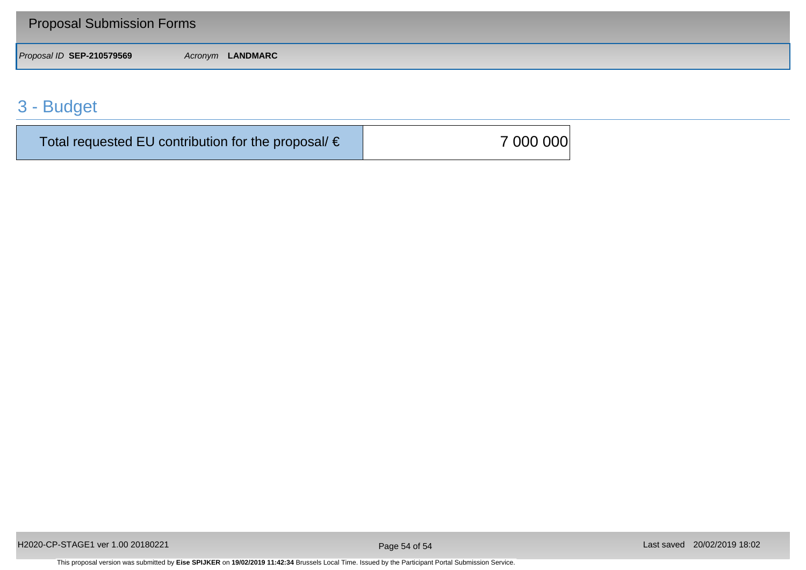| <b>Proposal Submission Forms</b> |                  |
|----------------------------------|------------------|
| Proposal ID SEP-210579569        | Acronym LANDMARC |

# 3 - Budget

| Total requested EU contribution for the proposal/ $\epsilon$ | 7 000 000 |
|--------------------------------------------------------------|-----------|
|--------------------------------------------------------------|-----------|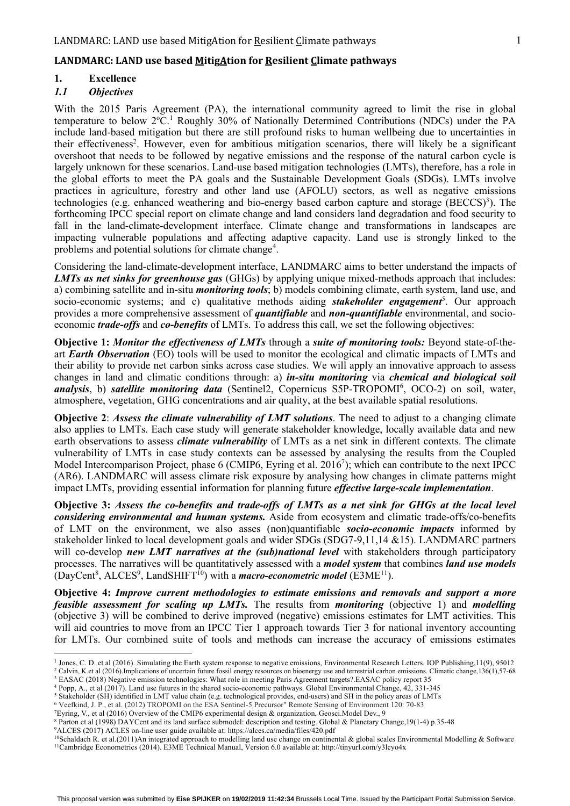#### **LANDMARC: LAND use based MitigAtion for Resilient Climate pathways**

# **1. Excellence**

#### *1.1 Objectives*

With the 2015 Paris Agreement (PA), the international community agreed to limit the rise in global temperature to below 2°C.<sup>1</sup> Roughly 30% of Nationally Determined Contributions (NDCs) under the PA include land-based mitigation but there are still profound risks to human wellbeing due to uncertainties in their effectiveness<sup>2</sup>. However, even for ambitious mitigation scenarios, there will likely be a significant overshoot that needs to be followed by negative emissions and the response of the natural carbon cycle is largely unknown for these scenarios. Land-use based mitigation technologies (LMTs), therefore, has a role in the global efforts to meet the PA goals and the Sustainable Development Goals (SDGs). LMTs involve practices in agriculture, forestry and other land use (AFOLU) sectors, as well as negative emissions technologies (e.g. enhanced weathering and bio-energy based carbon capture and storage (BECCS)<sup>3</sup>). The forthcoming IPCC special report on climate change and land considers land degradation and food security to fall in the land-climate-development interface. Climate change and transformations in landscapes are impacting vulnerable populations and affecting adaptive capacity. Land use is strongly linked to the problems and potential solutions for climate change<sup>4</sup>.

Considering the land-climate-development interface, LANDMARC aims to better understand the impacts of *LMTs as net sinks for greenhouse gas* (GHGs) by applying unique mixed-methods approach that includes: a) combining satellite and in-situ *monitoring tools*; b) models combining climate, earth system, land use, and socio-economic systems; and c) qualitative methods aiding *stakeholder engagement*<sup>5</sup>. Our approach provides a more comprehensive assessment of *quantifiable* and *non-quantifiable* environmental, and socioeconomic *trade-offs* and *co-benefits* of LMTs. To address this call, we set the following objectives:

**Objective 1:** *Monitor the effectiveness of LMTs* through a *suite of monitoring tools:* Beyond state-of-theart *Earth Observation* (EO) tools will be used to monitor the ecological and climatic impacts of LMTs and their ability to provide net carbon sinks across case studies. We will apply an innovative approach to assess changes in land and climatic conditions through: a) *in-situ monitoring* via *chemical and biological soil*  analysis, b) satellite monitoring data (Sentinel2, Copernicus S5P-TROPOMI<sup>6</sup>, OCO-2) on soil, water, atmosphere, vegetation, GHG concentrations and air quality, at the best available spatial resolutions.

**Objective 2**: *Assess the climate vulnerability of LMT solutions*. The need to adjust to a changing climate also applies to LMTs. Each case study will generate stakeholder knowledge, locally available data and new earth observations to assess *climate vulnerability* of LMTs as a net sink in different contexts. The climate vulnerability of LMTs in case study contexts can be assessed by analysing the results from the Coupled Model Intercomparison Project, phase 6 (CMIP6, Eyring et al. 2016<sup>7</sup>); which can contribute to the next IPCC (AR6). LANDMARC will assess climate risk exposure by analysing how changes in climate patterns might impact LMTs, providing essential information for planning future *effective large-scale implementation*.

**Objective 3:** *Assess the co-benefits and trade-offs of LMTs as a net sink for GHGs at the local level considering environmental and human systems.* Aside from ecosystem and climatic trade-offs/co-benefits of LMT on the environment, we also asses (non)quantifiable *socio-economic impacts* informed by stakeholder linked to local development goals and wider SDGs (SDG7-9,11,14 &15). LANDMARC partners will co-develop *new LMT narratives at the (sub)national level* with stakeholders through participatory processes. The narratives will be quantitatively assessed with a *model system* that combines *land use models* (DayCent<sup>8</sup>, ALCES<sup>9</sup>, LandSHIFT<sup>10</sup>) with a *macro-econometric model* (E3ME<sup>11</sup>).

**Objective 4:** *Improve current methodologies to estimate emissions and removals and support a more feasible assessment for scaling up LMTs.* The results from *monitoring* (objective 1) and *modelling* (objective 3) will be combined to derive improved (negative) emissions estimates for LMT activities. This will aid countries to move from an IPCC Tier 1 approach towards Tier 3 for national inventory accounting for LMTs. Our combined suite of tools and methods can increase the accuracy of emissions estimates

<sup>&</sup>lt;sup>1</sup> Jones, C. D. et al (2016). Simulating the Earth system response to negative emissions, Environmental Research Letters. IOP Publishing,11(9), 95012

<sup>2</sup> Calvin, K.et al (2016).Implications of uncertain future fossil energy resources on bioenergy use and terrestrial carbon emissions. Climatic change,136(1),57-68 <sup>3</sup> EASAC (2018) Negative emission technologies: What role in meeting Paris Agreement targets?.EASAC policy report 35

<sup>4</sup> Popp, A., et al (2017). Land use futures in the shared socio-economic pathways. Global Environmental Change, 42, 331-345

<sup>&</sup>lt;sup>5</sup> Stakeholder (SH) identified in LMT value chain (e.g. technological provides, end-users) and SH in the policy areas of LMTs

<sup>6</sup> Veefkind, J. P., et al. (2012) TROPOMI on the ESA Sentinel-5 Precursor" Remote Sensing of Environment 120: 70-83

<sup>7</sup>Eyring, V., et al (2016) Overview of the CMIP6 experimental design & organization, Geosci.Model Dev., 9

<sup>8</sup> Parton et al (1998) DAYCent and its land surface submodel: description and testing. Global & Planetary Change,19(1-4) p.35-48 9ALCES (2017) ACLES on-line user guide available at: https://alces.ca/media/files/420.pdf

<sup>10</sup>Schaldach R. et al.(2011)An integrated approach to modelling land use change on continental & global scales Environmental Modelling & Software 11Cambridge Econometrics (2014). E3ME Technical Manual, Version 6.0 available at: http://tinyurl.com/y3lcyo4x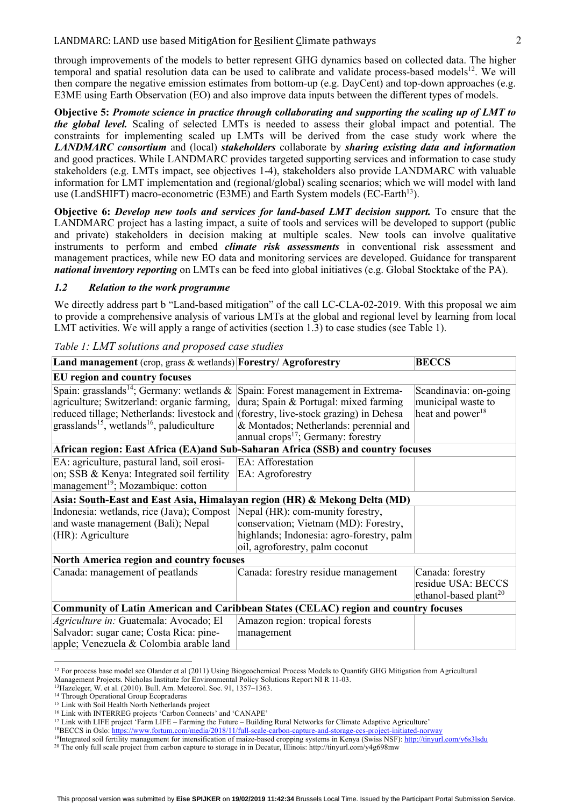#### LANDMARC: LAND use based MitigAtion for Resilient Climate pathways 2

through improvements of the models to better represent GHG dynamics based on collected data. The higher temporal and spatial resolution data can be used to calibrate and validate process-based models<sup>12</sup>. We will then compare the negative emission estimates from bottom-up (e.g. DayCent) and top-down approaches (e.g. E3ME using Earth Observation (EO) and also improve data inputs between the different types of models.

**Objective 5:** *Promote science in practice through* **c***ollaborating and supporting the scaling up of LMT to the global level.* Scaling of selected LMTs is needed to assess their global impact and potential. The constraints for implementing scaled up LMTs will be derived from the case study work where the *LANDMARC consortium* and (local) *stakeholders* collaborate by *sharing existing data and information* and good practices. While LANDMARC provides targeted supporting services and information to case study stakeholders (e.g. LMTs impact, see objectives 1-4), stakeholders also provide LANDMARC with valuable information for LMT implementation and (regional/global) scaling scenarios; which we will model with land use (LandSHIFT) macro-econometric (E3ME) and Earth System models (EC-Earth<sup>13</sup>).

**Objective 6:** *Develop new tools and services for land-based LMT decision support.* To ensure that the LANDMARC project has a lasting impact, a suite of tools and services will be developed to support (public and private) stakeholders in decision making at multiple scales. New tools can involve qualitative instruments to perform and embed *climate risk assessments* in conventional risk assessment and management practices, while new EO data and monitoring services are developed. Guidance for transparent *national inventory reporting* on LMTs can be feed into global initiatives (e.g. Global Stocktake of the PA).

#### *1.2 Relation to the work programme*

We directly address part b "Land-based mitigation" of the call LC-CLA-02-2019. With this proposal we aim to provide a comprehensive analysis of various LMTs at the global and regional level by learning from local LMT activities. We will apply a range of activities (section 1.3) to case studies (see Table 1).

#### *Table 1: LMT solutions and proposed case studies*

| Land management (crop, grass & wetlands) Forestry/ Agroforestry                                                                                                                                                                                                                                                                                                                                                                                      |                                                                                                                                                                                                                    | <b>BECCS</b>                                                                |
|------------------------------------------------------------------------------------------------------------------------------------------------------------------------------------------------------------------------------------------------------------------------------------------------------------------------------------------------------------------------------------------------------------------------------------------------------|--------------------------------------------------------------------------------------------------------------------------------------------------------------------------------------------------------------------|-----------------------------------------------------------------------------|
| EU region and country focuses                                                                                                                                                                                                                                                                                                                                                                                                                        |                                                                                                                                                                                                                    |                                                                             |
| Spain: grasslands <sup>14</sup> ; Germany: wetlands $\&$<br>agriculture; Switzerland: organic farming,<br>reduced tillage; Netherlands: livestock and (forestry, live-stock grazing) in Dehesa<br>grasslands <sup>15</sup> , wetlands <sup>16</sup> , paludiculture<br>African region: East Africa (EA)and Sub-Saharan Africa (SSB) and country focuses<br>EA: agriculture, pastural land, soil erosi-<br>on; SSB & Kenya: Integrated soil fertility | Spain: Forest management in Extrema-<br>dura; Spain & Portugal: mixed farming<br>& Montados; Netherlands: perennial and<br>annual crops <sup>17</sup> ; Germany: forestry<br>EA: Afforestation<br>EA: Agroforestry | Scandinavia: on-going<br>municipal waste to<br>heat and power <sup>18</sup> |
| management <sup>19</sup> ; Mozambique: cotton                                                                                                                                                                                                                                                                                                                                                                                                        |                                                                                                                                                                                                                    |                                                                             |
| Asia: South-East and East Asia, Himalayan region (HR) & Mekong Delta (MD)                                                                                                                                                                                                                                                                                                                                                                            |                                                                                                                                                                                                                    |                                                                             |
| Indonesia: wetlands, rice (Java); Compost<br>and waste management (Bali); Nepal<br>(HR): Agriculture                                                                                                                                                                                                                                                                                                                                                 | Nepal (HR): com-munity forestry,<br>conservation; Vietnam (MD): Forestry,<br>highlands; Indonesia: agro-forestry, palm<br>oil, agroforestry, palm coconut                                                          |                                                                             |
| <b>North America region and country focuses</b>                                                                                                                                                                                                                                                                                                                                                                                                      |                                                                                                                                                                                                                    |                                                                             |
| Canada: management of peatlands                                                                                                                                                                                                                                                                                                                                                                                                                      | Canada: forestry residue management                                                                                                                                                                                | Canada: forestry<br>residue USA: BECCS<br>ethanol-based plant <sup>20</sup> |
| <b>Community of Latin American and Caribbean States (CELAC) region and country focuses</b>                                                                                                                                                                                                                                                                                                                                                           |                                                                                                                                                                                                                    |                                                                             |
| Agriculture in: Guatemala: Avocado; El<br>Salvador: sugar cane; Costa Rica: pine-<br>apple; Venezuela & Colombia arable land                                                                                                                                                                                                                                                                                                                         | Amazon region: tropical forests<br>management                                                                                                                                                                      |                                                                             |

<sup>&</sup>lt;sup>12</sup> For process base model see Olander et al (2011) Using Biogeochemical Process Models to Quantify GHG Mitigation from Agricultural

Management Projects. Nicholas Institute for Environmental Policy Solutions Report NI R 11-03. 13Hazeleger, W. et al. (2010). Bull. Am. Meteorol. Soc. 91, 1357–1363.

<sup>&</sup>lt;sup>14</sup> Through Operational Group Ecopraderas

<sup>&</sup>lt;sup>15</sup> Link with Soil Health North Netherlands project

<sup>16</sup> Link with INTERREG projects 'Carbon Connects' and 'CANAPE'

<sup>&</sup>lt;sup>17</sup> Link with LIFE project 'Farm LIFE – Farming the Future – Building Rural Networks for Climate Adaptive Agriculture'

<sup>18</sup>BECCS in Oslo: https://www.fortum.com/media/2018/11/full-scale-carbon-capture-and-storage-ccs-project-initiated-norway

<sup>19</sup>Integrated soil fertility management for intensification of maize-based cropping systems in Kenya (Swiss NSF): http://tinyurl.com/y6s3lsdu <sup>20</sup> The only full scale project from carbon capture to storage in in Decatur, Illinois: http://tinyurl.com/y4g698mw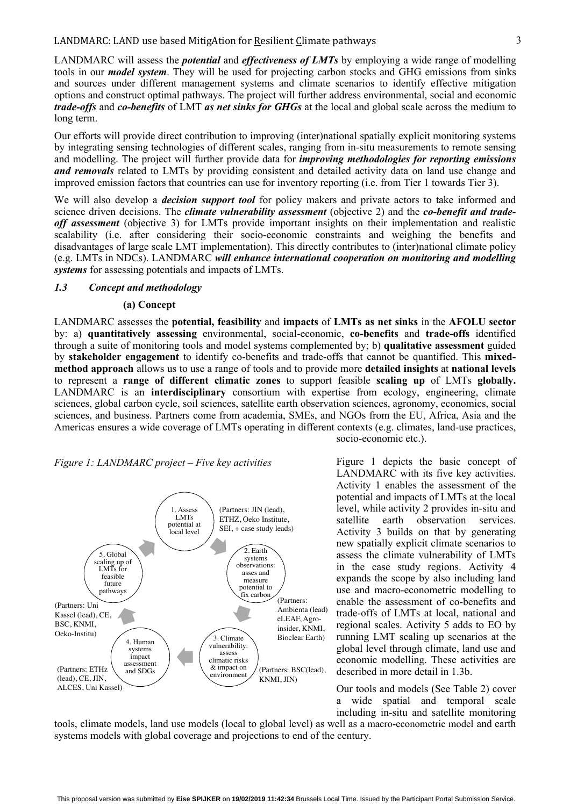LANDMARC will assess the *potential* and *effectiveness of LMTs* by employing a wide range of modelling tools in our *model system*. They will be used for projecting carbon stocks and GHG emissions from sinks and sources under different management systems and climate scenarios to identify effective mitigation options and construct optimal pathways. The project will further address environmental, social and economic *trade-offs* and *co-benefits* of LMT *as net sinks for GHGs* at the local and global scale across the medium to long term.

Our efforts will provide direct contribution to improving (inter)national spatially explicit monitoring systems by integrating sensing technologies of different scales, ranging from in-situ measurements to remote sensing and modelling. The project will further provide data for *improving methodologies for reporting emissions and removals* related to LMTs by providing consistent and detailed activity data on land use change and improved emission factors that countries can use for inventory reporting (i.e. from Tier 1 towards Tier 3).

We will also develop a *decision support tool* for policy makers and private actors to take informed and science driven decisions. The *climate vulnerability assessment* (objective 2) and the *co-benefit and tradeoff assessment* (objective 3) for LMTs provide important insights on their implementation and realistic scalability (i.e. after considering their socio-economic constraints and weighing the benefits and disadvantages of large scale LMT implementation). This directly contributes to (inter)national climate policy (e.g. LMTs in NDCs). LANDMARC *will enhance international cooperation on monitoring and modelling systems* for assessing potentials and impacts of LMTs.

#### *1.3 Concept and methodology*

#### **(a) Concept**

LANDMARC assesses the **potential, feasibility** and **impacts** of **LMTs as net sinks** in the **AFOLU sector** by: a) **quantitatively assessing** environmental, social-economic, **co-benefits** and **trade-offs** identified through a suite of monitoring tools and model systems complemented by; b) **qualitative assessment** guided by **stakeholder engagement** to identify co-benefits and trade-offs that cannot be quantified. This **mixedmethod approach** allows us to use a range of tools and to provide more **detailed insights** at **national levels** to represent a **range of different climatic zones** to support feasible **scaling up** of LMTs **globally.** LANDMARC is an **interdisciplinary** consortium with expertise from ecology, engineering, climate sciences, global carbon cycle, soil sciences, satellite earth observation sciences, agronomy, economics, social sciences, and business. Partners come from academia, SMEs, and NGOs from the EU, Africa, Asia and the Americas ensures a wide coverage of LMTs operating in different contexts (e.g. climates, land-use practices, socio-economic etc.).

#### *Figure 1: LANDMARC project – Five key activities*



Figure 1 depicts the basic concept of LANDMARC with its five key activities. Activity 1 enables the assessment of the potential and impacts of LMTs at the local level, while activity 2 provides in-situ and satellite earth observation services. Activity 3 builds on that by generating new spatially explicit climate scenarios to assess the climate vulnerability of LMTs in the case study regions. Activity 4 expands the scope by also including land use and macro-econometric modelling to enable the assessment of co-benefits and trade-offs of LMTs at local, national and regional scales. Activity 5 adds to EO by running LMT scaling up scenarios at the global level through climate, land use and economic modelling. These activities are described in more detail in 1.3b.

Our tools and models (See Table 2) cover a wide spatial and temporal scale including in-situ and satellite monitoring

tools, climate models, land use models (local to global level) as well as a macro-econometric model and earth systems models with global coverage and projections to end of the century.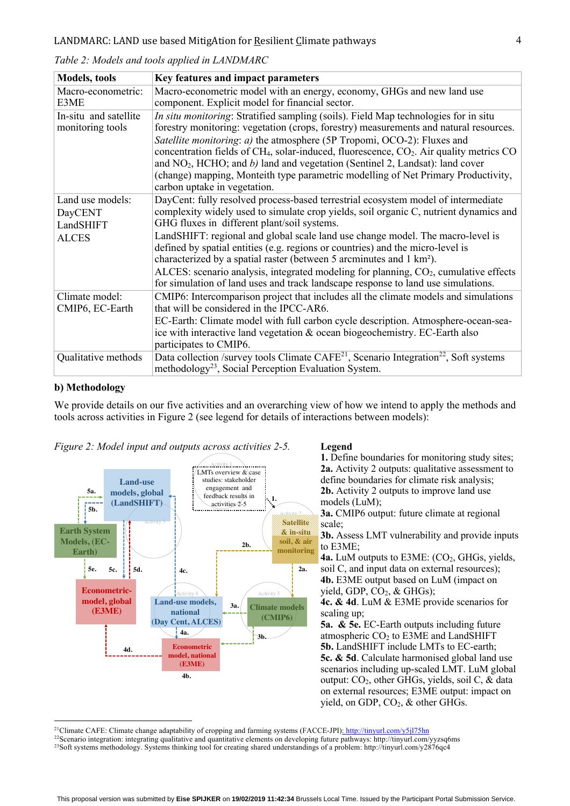| <b>Models</b> , tools | Key features and impact parameters                                                                                                                                                                |
|-----------------------|---------------------------------------------------------------------------------------------------------------------------------------------------------------------------------------------------|
| Macro-econometric:    | Macro-econometric model with an energy, economy, GHGs and new land use                                                                                                                            |
| E3ME                  | component. Explicit model for financial sector.                                                                                                                                                   |
| In-situ and satellite | In situ monitoring: Stratified sampling (soils). Field Map technologies for in situ                                                                                                               |
| monitoring tools      | forestry monitoring: vegetation (crops, forestry) measurements and natural resources.                                                                                                             |
|                       | Satellite monitoring: a) the atmosphere (5P Tropomi, OCO-2): Fluxes and                                                                                                                           |
|                       | concentration fields of CH <sub>4</sub> , solar-induced, fluorescence, CO <sub>2</sub> . Air quality metrics CO<br>and $NO2$ , HCHO; and b) land and vegetation (Sentinel 2, Landsat): land cover |
|                       | (change) mapping, Monteith type parametric modelling of Net Primary Productivity,                                                                                                                 |
|                       | carbon uptake in vegetation.                                                                                                                                                                      |
| Land use models:      | DayCent: fully resolved process-based terrestrial ecosystem model of intermediate                                                                                                                 |
| <b>DayCENT</b>        | complexity widely used to simulate crop yields, soil organic C, nutrient dynamics and                                                                                                             |
| LandSHIFT             | GHG fluxes in different plant/soil systems.                                                                                                                                                       |
| <b>ALCES</b>          | LandSHIFT: regional and global scale land use change model. The macro-level is                                                                                                                    |
|                       | defined by spatial entities (e.g. regions or countries) and the micro-level is                                                                                                                    |
|                       | characterized by a spatial raster (between 5 arcminutes and 1 km <sup>2</sup> ).                                                                                                                  |
|                       | ALCES: scenario analysis, integrated modeling for planning, CO <sub>2</sub> , cumulative effects<br>for simulation of land uses and track landscape response to land use simulations.             |
| Climate model:        | CMIP6: Intercomparison project that includes all the climate models and simulations                                                                                                               |
| CMIP6, EC-Earth       | that will be considered in the IPCC-AR6.                                                                                                                                                          |
|                       | EC-Earth: Climate model with full carbon cycle description. Atmosphere-ocean-sea-                                                                                                                 |
|                       | ice with interactive land vegetation & ocean biogeochemistry. EC-Earth also                                                                                                                       |
|                       | participates to CMIP6.                                                                                                                                                                            |
| Qualitative methods   | Data collection /survey tools Climate CAFE <sup>21</sup> , Scenario Integration <sup>22</sup> , Soft systems                                                                                      |
|                       | methodology <sup>23</sup> , Social Perception Evaluation System.                                                                                                                                  |

*Table 2: Models and tools applied in LANDMARC*

#### **b) Methodology**

We provide details on our five activities and an overarching view of how we intend to apply the methods and tools across activities in Figure 2 (see legend for details of interactions between models):





**1.** Define boundaries for monitoring study sites; **2a.** Activity 2 outputs: qualitative assessment to define boundaries for climate risk analysis; **2b.** Activity 2 outputs to improve land use models (LuM); **3a.** CMIP6 output: future climate at regional scale; **3b.** Assess LMT vulnerability and provide inputs to E3ME; 4a. LuM outputs to E3ME: (CO<sub>2</sub>, GHGs, yields, soil C, and input data on external resources); **4b.** E3ME output based on LuM (impact on yield, GDP, CO<sub>2</sub>, & GHGs); **4c. & 4d**. LuM & E3ME provide scenarios for scaling up; **5a. & 5e.** EC-Earth outputs including future atmospheric CO2 to E3ME and LandSHIFT **5b.** LandSHIFT include LMTs to EC-earth; **5c. & 5d**. Calculate harmonised global land use scenarios including up-scaled LMT. LuM global output: CO2, other GHGs, yields, soil C, & data on external resources; E3ME output: impact on yield, on GDP,  $CO<sub>2</sub>$ , & other GHGs.

21Climate CAFE: Climate change adaptability of cropping and farming systems (FACCE-JPI): http://tinyurl.com/y5jl75hn

22Scenario integration: integrating qualitative and quantitative elements on developing future pathways: http://tinyurl.com/yyzsq6ms 23Soft systems methodology. Systems thinking tool for creating shared understandings of a problem: http://tinyurl.com/y2876qc4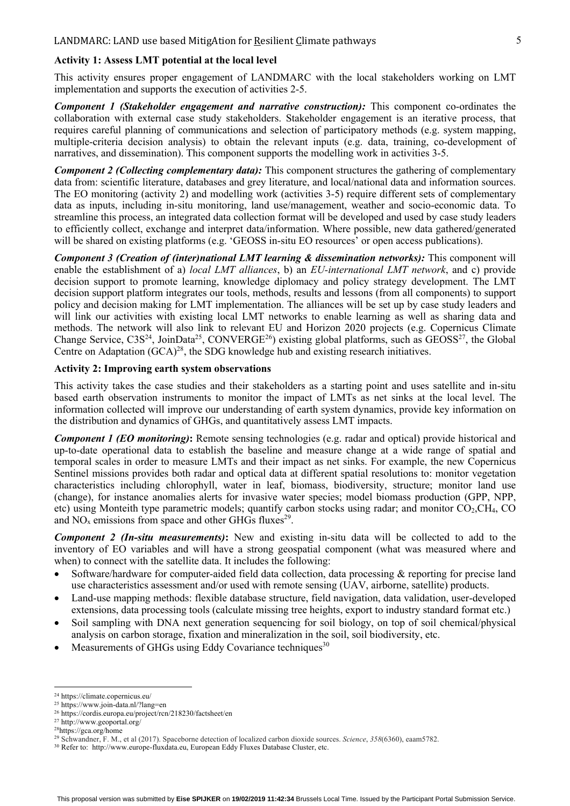#### **Activity 1: Assess LMT potential at the local level**

This activity ensures proper engagement of LANDMARC with the local stakeholders working on LMT implementation and supports the execution of activities 2-5.

*Component 1 (Stakeholder engagement and narrative construction):* This component co-ordinates the collaboration with external case study stakeholders. Stakeholder engagement is an iterative process, that requires careful planning of communications and selection of participatory methods (e.g. system mapping, multiple-criteria decision analysis) to obtain the relevant inputs (e.g. data, training, co-development of narratives, and dissemination). This component supports the modelling work in activities 3-5.

*Component 2 (Collecting complementary data):* This component structures the gathering of complementary data from: scientific literature, databases and grey literature, and local/national data and information sources. The EO monitoring (activity 2) and modelling work (activities 3-5) require different sets of complementary data as inputs, including in-situ monitoring, land use/management, weather and socio-economic data. To streamline this process, an integrated data collection format will be developed and used by case study leaders to efficiently collect, exchange and interpret data/information. Where possible, new data gathered/generated will be shared on existing platforms (e.g. 'GEOSS in-situ EO resources' or open access publications).

*Component 3 (Creation of (inter)national LMT learning & dissemination networks):* This component will enable the establishment of a) *local LMT alliances*, b) an *EU-international LMT network*, and c) provide decision support to promote learning, knowledge diplomacy and policy strategy development. The LMT decision support platform integrates our tools, methods, results and lessons (from all components) to support policy and decision making for LMT implementation. The alliances will be set up by case study leaders and will link our activities with existing local LMT networks to enable learning as well as sharing data and methods. The network will also link to relevant EU and Horizon 2020 projects (e.g. Copernicus Climate Change Service,  $C3S^{24}$ , JoinData<sup>25</sup>, CONVERGE<sup>26</sup>) existing global platforms, such as GEOSS<sup>27</sup>, the Global Centre on Adaptation  $(GCA)^{28}$ , the SDG knowledge hub and existing research initiatives.

#### **Activity 2: Improving earth system observations**

This activity takes the case studies and their stakeholders as a starting point and uses satellite and in-situ based earth observation instruments to monitor the impact of LMTs as net sinks at the local level. The information collected will improve our understanding of earth system dynamics, provide key information on the distribution and dynamics of GHGs, and quantitatively assess LMT impacts.

*Component 1 (EO monitoring)***:** Remote sensing technologies (e.g. radar and optical) provide historical and up-to-date operational data to establish the baseline and measure change at a wide range of spatial and temporal scales in order to measure LMTs and their impact as net sinks. For example, the new Copernicus Sentinel missions provides both radar and optical data at different spatial resolutions to: monitor vegetation characteristics including chlorophyll, water in leaf, biomass, biodiversity, structure; monitor land use (change), for instance anomalies alerts for invasive water species; model biomass production (GPP, NPP, etc) using Monteith type parametric models; quantify carbon stocks using radar; and monitor  $CO_2, CH_4, CO$ and  $NO<sub>x</sub>$  emissions from space and other GHGs fluxes<sup>29</sup>.

*Component 2 (In-situ measurements)***:** New and existing in-situ data will be collected to add to the inventory of EO variables and will have a strong geospatial component (what was measured where and when) to connect with the satellite data. It includes the following:

- Software/hardware for computer-aided field data collection, data processing & reporting for precise land use characteristics assessment and/or used with remote sensing (UAV, airborne, satellite) products.
- Land-use mapping methods: flexible database structure, field navigation, data validation, user-developed extensions, data processing tools (calculate missing tree heights, export to industry standard format etc.)
- Soil sampling with DNA next generation sequencing for soil biology, on top of soil chemical/physical analysis on carbon storage, fixation and mineralization in the soil, soil biodiversity, etc.
- Measurements of GHGs using Eddy Covariance techniques<sup>30</sup>

 <sup>24</sup> https://climate.copernicus.eu/

<sup>25</sup> https://www.join-data.nl/?lang=en

<sup>26</sup> https://cordis.europa.eu/project/rcn/218230/factsheet/en

<sup>27</sup> http://www.geoportal.org/

<sup>28</sup>https://gca.org/home

<sup>29</sup> Schwandner, F. M., et al (2017). Spaceborne detection of localized carbon dioxide sources. *Science*, *358*(6360), eaam5782.

<sup>30</sup> Refer to: http://www.europe-fluxdata.eu, European Eddy Fluxes Database Cluster, etc.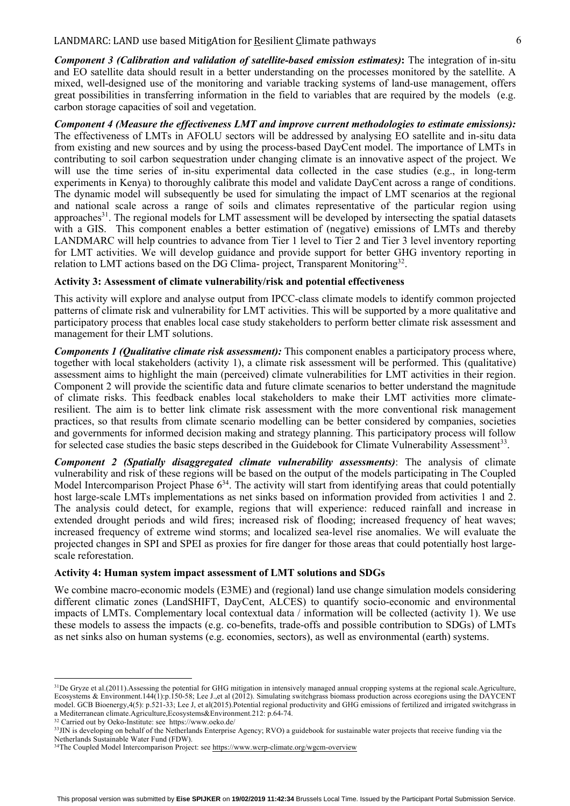#### LANDMARC: LAND use based MitigAtion for Resilient Climate pathways 6

*Component 3 (Calibration and validation of satellite-based emission estimates)***:** The integration of in-situ and EO satellite data should result in a better understanding on the processes monitored by the satellite. A mixed, well-designed use of the monitoring and variable tracking systems of land-use management, offers great possibilities in transferring information in the field to variables that are required by the models (e.g. carbon storage capacities of soil and vegetation.

*Component 4 (Measure the effectiveness LMT and improve current methodologies to estimate emissions):* The effectiveness of LMTs in AFOLU sectors will be addressed by analysing EO satellite and in-situ data from existing and new sources and by using the process-based DayCent model. The importance of LMTs in contributing to soil carbon sequestration under changing climate is an innovative aspect of the project. We will use the time series of in-situ experimental data collected in the case studies (e.g., in long-term experiments in Kenya) to thoroughly calibrate this model and validate DayCent across a range of conditions. The dynamic model will subsequently be used for simulating the impact of LMT scenarios at the regional and national scale across a range of soils and climates representative of the particular region using approaches<sup>31</sup>. The regional models for LMT assessment will be developed by intersecting the spatial datasets with a GIS. This component enables a better estimation of (negative) emissions of LMTs and thereby LANDMARC will help countries to advance from Tier 1 level to Tier 2 and Tier 3 level inventory reporting for LMT activities. We will develop guidance and provide support for better GHG inventory reporting in relation to LMT actions based on the DG Clima- project, Transparent Monitoring<sup>32</sup>.

#### **Activity 3: Assessment of climate vulnerability/risk and potential effectiveness**

This activity will explore and analyse output from IPCC-class climate models to identify common projected patterns of climate risk and vulnerability for LMT activities. This will be supported by a more qualitative and participatory process that enables local case study stakeholders to perform better climate risk assessment and management for their LMT solutions.

*Components 1 (Qualitative climate risk assessment):* This component enables a participatory process where, together with local stakeholders (activity 1), a climate risk assessment will be performed. This (qualitative) assessment aims to highlight the main (perceived) climate vulnerabilities for LMT activities in their region. Component 2 will provide the scientific data and future climate scenarios to better understand the magnitude of climate risks. This feedback enables local stakeholders to make their LMT activities more climateresilient. The aim is to better link climate risk assessment with the more conventional risk management practices, so that results from climate scenario modelling can be better considered by companies, societies and governments for informed decision making and strategy planning. This participatory process will follow for selected case studies the basic steps described in the Guidebook for Climate Vulnerability Assessment<sup>33</sup>.

*Component 2 (Spatially disaggregated climate vulnerability assessments)*: The analysis of climate vulnerability and risk of these regions will be based on the output of the models participating in The Coupled Model Intercomparison Project Phase  $6^{34}$ . The activity will start from identifying areas that could potentially host large-scale LMTs implementations as net sinks based on information provided from activities 1 and 2. The analysis could detect, for example, regions that will experience: reduced rainfall and increase in extended drought periods and wild fires; increased risk of flooding; increased frequency of heat waves; increased frequency of extreme wind storms; and localized sea-level rise anomalies. We will evaluate the projected changes in SPI and SPEI as proxies for fire danger for those areas that could potentially host largescale reforestation.

#### **Activity 4: Human system impact assessment of LMT solutions and SDGs**

We combine macro-economic models (E3ME) and (regional) land use change simulation models considering different climatic zones (LandSHIFT, DayCent, ALCES) to quantify socio-economic and environmental impacts of LMTs. Complementary local contextual data / information will be collected (activity 1). We use these models to assess the impacts (e.g. co-benefits, trade-offs and possible contribution to SDGs) of LMTs as net sinks also on human systems (e.g. economies, sectors), as well as environmental (earth) systems.

<sup>&</sup>lt;sup>31</sup>De Gryze et al.(2011). Assessing the potential for GHG mitigation in intensively managed annual cropping systems at the regional scale. Agriculture, Ecosystems & Environment.144(1):p.150-58; Lee J.,et al (2012). Simulating switchgrass biomass production across ecoregions using the DAYCENT model. GCB Bioenergy,4(5): p.521-33; Lee J, et al(2015).Potential regional productivity and GHG emissions of fertilized and irrigated switchgrass in a Mediterranean climate.Agriculture,Ecosystems&Environment.212: p.64-74.

<sup>32</sup> Carried out by Oeko-Institute: see https://www.oeko.de/

<sup>&</sup>lt;sup>33</sup>JIN is developing on behalf of the Netherlands Enterprise Agency; RVO) a guidebook for sustainable water projects that receive funding via the Netherlands Sustainable Water Fund (FDW).

<sup>&</sup>lt;sup>34</sup>The Coupled Model Intercomparison Project: see https://www.wcrp-climate.org/wgcm-overview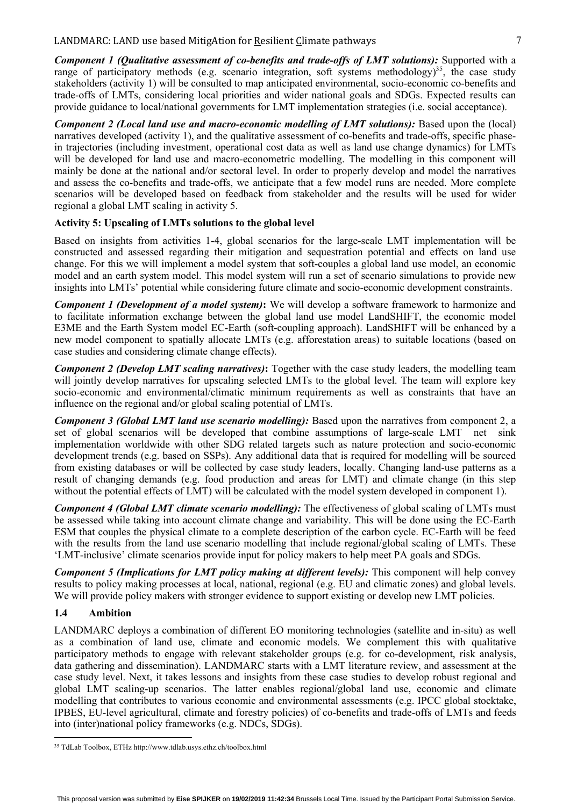*Component 2 (Local land use and macro-economic modelling of LMT solutions):* Based upon the (local) narratives developed (activity 1), and the qualitative assessment of co-benefits and trade-offs, specific phasein trajectories (including investment, operational cost data as well as land use change dynamics) for LMTs will be developed for land use and macro-econometric modelling. The modelling in this component will mainly be done at the national and/or sectoral level. In order to properly develop and model the narratives and assess the co-benefits and trade-offs, we anticipate that a few model runs are needed. More complete scenarios will be developed based on feedback from stakeholder and the results will be used for wider regional a global LMT scaling in activity 5.

#### **Activity 5: Upscaling of LMTs solutions to the global level**

Based on insights from activities 1-4, global scenarios for the large-scale LMT implementation will be constructed and assessed regarding their mitigation and sequestration potential and effects on land use change. For this we will implement a model system that soft-couples a global land use model, an economic model and an earth system model. This model system will run a set of scenario simulations to provide new insights into LMTs' potential while considering future climate and socio-economic development constraints.

*Component 1 (Development of a model system)***:** We will develop a software framework to harmonize and to facilitate information exchange between the global land use model LandSHIFT, the economic model E3ME and the Earth System model EC-Earth (soft-coupling approach). LandSHIFT will be enhanced by a new model component to spatially allocate LMTs (e.g. afforestation areas) to suitable locations (based on case studies and considering climate change effects).

*Component 2 (Develop LMT scaling narratives)***:** Together with the case study leaders, the modelling team will jointly develop narratives for upscaling selected LMTs to the global level. The team will explore key socio-economic and environmental/climatic minimum requirements as well as constraints that have an influence on the regional and/or global scaling potential of LMTs.

*Component 3 (Global LMT land use scenario modelling):* Based upon the narratives from component 2, a set of global scenarios will be developed that combine assumptions of large-scale LMT net sink implementation worldwide with other SDG related targets such as nature protection and socio-economic development trends (e.g. based on SSPs). Any additional data that is required for modelling will be sourced from existing databases or will be collected by case study leaders, locally. Changing land-use patterns as a result of changing demands (e.g. food production and areas for LMT) and climate change (in this step without the potential effects of LMT) will be calculated with the model system developed in component 1).

*Component 4 (Global LMT climate scenario modelling):* The effectiveness of global scaling of LMTs must be assessed while taking into account climate change and variability. This will be done using the EC-Earth ESM that couples the physical climate to a complete description of the carbon cycle. EC-Earth will be feed with the results from the land use scenario modelling that include regional/global scaling of LMTs. These 'LMT-inclusive' climate scenarios provide input for policy makers to help meet PA goals and SDGs.

*Component 5 (Implications for LMT policy making at different levels):* This component will help convey results to policy making processes at local, national, regional (e.g. EU and climatic zones) and global levels. We will provide policy makers with stronger evidence to support existing or develop new LMT policies.

#### **1.4 Ambition**

LANDMARC deploys a combination of different EO monitoring technologies (satellite and in-situ) as well as a combination of land use, climate and economic models. We complement this with qualitative participatory methods to engage with relevant stakeholder groups (e.g. for co-development, risk analysis, data gathering and dissemination). LANDMARC starts with a LMT literature review, and assessment at the case study level. Next, it takes lessons and insights from these case studies to develop robust regional and global LMT scaling-up scenarios. The latter enables regional/global land use, economic and climate modelling that contributes to various economic and environmental assessments (e.g. IPCC global stocktake, IPBES, EU-level agricultural, climate and forestry policies) of co-benefits and trade-offs of LMTs and feeds into (inter)national policy frameworks (e.g. NDCs, SDGs).

 <sup>35</sup> TdLab Toolbox, ETHz http://www.tdlab.usys.ethz.ch/toolbox.html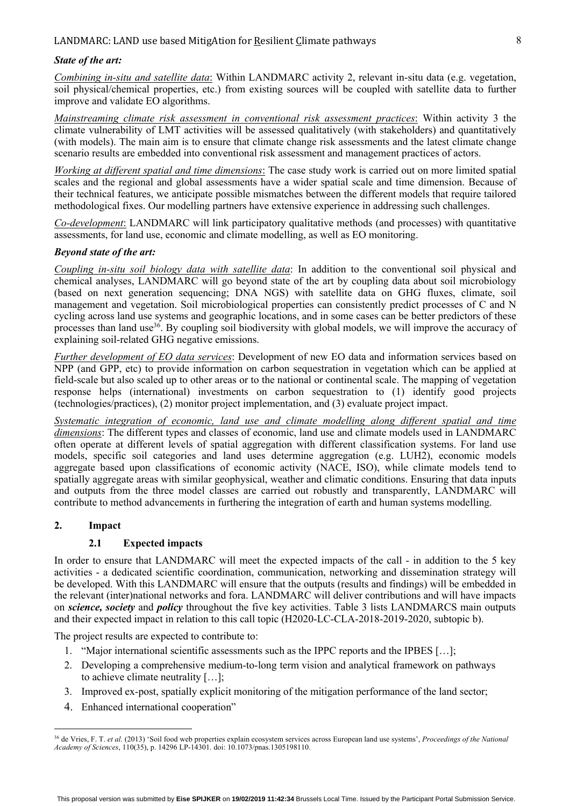#### LANDMARC: LAND use based MitigAtion for Resilient Climate pathways  $\sim$  8

#### *State of the art:*

*Combining in-situ and satellite data*: Within LANDMARC activity 2, relevant in-situ data (e.g. vegetation, soil physical/chemical properties, etc.) from existing sources will be coupled with satellite data to further improve and validate EO algorithms.

*Mainstreaming climate risk assessment in conventional risk assessment practices*: Within activity 3 the climate vulnerability of LMT activities will be assessed qualitatively (with stakeholders) and quantitatively (with models). The main aim is to ensure that climate change risk assessments and the latest climate change scenario results are embedded into conventional risk assessment and management practices of actors.

*Working at different spatial and time dimensions*: The case study work is carried out on more limited spatial scales and the regional and global assessments have a wider spatial scale and time dimension. Because of their technical features, we anticipate possible mismatches between the different models that require tailored methodological fixes. Our modelling partners have extensive experience in addressing such challenges.

*Co-development*: LANDMARC will link participatory qualitative methods (and processes) with quantitative assessments, for land use, economic and climate modelling, as well as EO monitoring.

#### *Beyond state of the art:*

*Coupling in-situ soil biology data with satellite data*: In addition to the conventional soil physical and chemical analyses, LANDMARC will go beyond state of the art by coupling data about soil microbiology (based on next generation sequencing; DNA NGS) with satellite data on GHG fluxes, climate, soil management and vegetation. Soil microbiological properties can consistently predict processes of C and N cycling across land use systems and geographic locations, and in some cases can be better predictors of these processes than land use<sup>36</sup>. By coupling soil biodiversity with global models, we will improve the accuracy of explaining soil-related GHG negative emissions.

*Further development of EO data services*: Development of new EO data and information services based on NPP (and GPP, etc) to provide information on carbon sequestration in vegetation which can be applied at field-scale but also scaled up to other areas or to the national or continental scale. The mapping of vegetation response helps (international) investments on carbon sequestration to (1) identify good projects (technologies/practices), (2) monitor project implementation, and (3) evaluate project impact.

*Systematic integration of economic, land use and climate modelling along different spatial and time dimensions*: The different types and classes of economic, land use and climate models used in LANDMARC often operate at different levels of spatial aggregation with different classification systems. For land use models, specific soil categories and land uses determine aggregation (e.g. LUH2), economic models aggregate based upon classifications of economic activity (NACE, ISO), while climate models tend to spatially aggregate areas with similar geophysical, weather and climatic conditions. Ensuring that data inputs and outputs from the three model classes are carried out robustly and transparently, LANDMARC will contribute to method advancements in furthering the integration of earth and human systems modelling.

#### **2. Impact**

#### **2.1 Expected impacts**

In order to ensure that LANDMARC will meet the expected impacts of the call - in addition to the 5 key activities - a dedicated scientific coordination, communication, networking and dissemination strategy will be developed. With this LANDMARC will ensure that the outputs (results and findings) will be embedded in the relevant (inter)national networks and fora. LANDMARC will deliver contributions and will have impacts on *science, society* and *policy* throughout the five key activities. Table 3 lists LANDMARCS main outputs and their expected impact in relation to this call topic (H2020-LC-CLA-2018-2019-2020, subtopic b).

The project results are expected to contribute to:

- 1. "Major international scientific assessments such as the IPPC reports and the IPBES […];
- 2. Developing a comprehensive medium-to-long term vision and analytical framework on pathways to achieve climate neutrality […];
- 3. Improved ex-post, spatially explicit monitoring of the mitigation performance of the land sector;
- 4. Enhanced international cooperation"

 <sup>36</sup> de Vries, F. T. *et al.* (2013) 'Soil food web properties explain ecosystem services across European land use systems', *Proceedings of the National Academy of Sciences*, 110(35), p. 14296 LP-14301. doi: 10.1073/pnas.1305198110.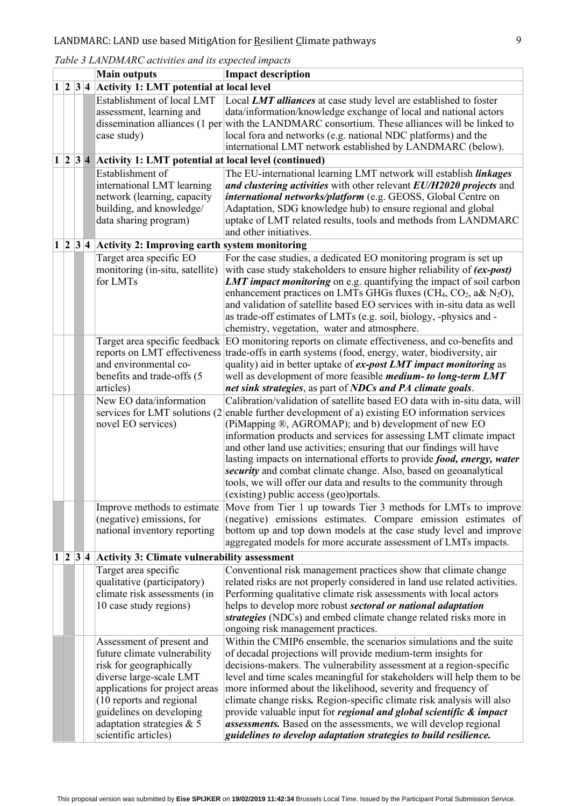| Table 3 LANDMARC activities and its expected impacts |  |  |
|------------------------------------------------------|--|--|
|------------------------------------------------------|--|--|

|   |                                                    | <b>Main outputs</b>                                                                                                  | <b>Impact description</b>                                                                                                                                                                                                                                                                                                                                                                                           |
|---|----------------------------------------------------|----------------------------------------------------------------------------------------------------------------------|---------------------------------------------------------------------------------------------------------------------------------------------------------------------------------------------------------------------------------------------------------------------------------------------------------------------------------------------------------------------------------------------------------------------|
|   | $1 2 3 4$ Activity 1: LMT potential at local level |                                                                                                                      |                                                                                                                                                                                                                                                                                                                                                                                                                     |
|   |                                                    | Establishment of local LMT<br>assessment, learning and                                                               | Local LMT alliances at case study level are established to foster<br>data/information/knowledge exchange of local and national actors<br>dissemination alliances (1 per with the LANDMARC consortium. These alliances will be linked to                                                                                                                                                                             |
|   |                                                    | case study)                                                                                                          | local fora and networks (e.g. national NDC platforms) and the<br>international LMT network established by LANDMARC (below).                                                                                                                                                                                                                                                                                         |
|   |                                                    | $1 \mid 2 \mid 3 \mid 4$ Activity 1: LMT potential at local level (continued)                                        |                                                                                                                                                                                                                                                                                                                                                                                                                     |
|   |                                                    | Establishment of                                                                                                     | The EU-international learning LMT network will establish linkages                                                                                                                                                                                                                                                                                                                                                   |
|   |                                                    | international LMT learning<br>network (learning, capacity<br>building, and knowledge/                                | and clustering activities with other relevant EU/H2020 projects and<br>international networks/platform (e.g. GEOSS, Global Centre on<br>Adaptation, SDG knowledge hub) to ensure regional and global                                                                                                                                                                                                                |
|   |                                                    | data sharing program)                                                                                                | uptake of LMT related results, tools and methods from LANDMARC                                                                                                                                                                                                                                                                                                                                                      |
|   |                                                    |                                                                                                                      | and other initiatives.                                                                                                                                                                                                                                                                                                                                                                                              |
| 1 |                                                    | $ 2 3 4$ Activity 2: Improving earth system monitoring                                                               |                                                                                                                                                                                                                                                                                                                                                                                                                     |
|   |                                                    | Target area specific EO<br>monitoring (in-situ, satellite)<br>for LMTs                                               | For the case studies, a dedicated EO monitoring program is set up<br>with case study stakeholders to ensure higher reliability of <i>(ex-post)</i><br><b>LMT impact monitoring</b> on e.g. quantifying the impact of soil carbon<br>enhancement practices on LMTs GHGs fluxes (CH <sub>4</sub> , CO <sub>2</sub> , a& N <sub>2</sub> O),<br>and validation of satellite based EO services with in-situ data as well |
|   |                                                    |                                                                                                                      | as trade-off estimates of LMTs (e.g. soil, biology, -physics and -<br>chemistry, vegetation, water and atmosphere.                                                                                                                                                                                                                                                                                                  |
|   |                                                    |                                                                                                                      | Target area specific feedback EO monitoring reports on climate effectiveness, and co-benefits and                                                                                                                                                                                                                                                                                                                   |
|   |                                                    |                                                                                                                      | reports on LMT effectiveness trade-offs in earth systems (food, energy, water, biodiversity, air                                                                                                                                                                                                                                                                                                                    |
|   |                                                    | and environmental co-                                                                                                | quality) aid in better uptake of ex-post LMT impact monitoring as                                                                                                                                                                                                                                                                                                                                                   |
|   |                                                    | benefits and trade-offs (5                                                                                           | well as development of more feasible <i>medium- to long-term LMT</i>                                                                                                                                                                                                                                                                                                                                                |
|   |                                                    | articles)                                                                                                            | net sink strategies, as part of NDCs and PA climate goals.                                                                                                                                                                                                                                                                                                                                                          |
|   |                                                    | New EO data/information<br>services for LMT solutions (2)                                                            | Calibration/validation of satellite based EO data with in-situ data, will<br>enable further development of a) existing EO information services                                                                                                                                                                                                                                                                      |
|   |                                                    | novel EO services)                                                                                                   | (PiMapping ®, AGROMAP); and b) development of new EO                                                                                                                                                                                                                                                                                                                                                                |
|   |                                                    |                                                                                                                      | information products and services for assessing LMT climate impact                                                                                                                                                                                                                                                                                                                                                  |
|   |                                                    |                                                                                                                      | and other land use activities; ensuring that our findings will have                                                                                                                                                                                                                                                                                                                                                 |
|   |                                                    |                                                                                                                      | lasting impacts on international efforts to provide food, energy, water                                                                                                                                                                                                                                                                                                                                             |
|   |                                                    |                                                                                                                      | security and combat climate change. Also, based on geoanalytical<br>tools, we will offer our data and results to the community through<br>(existing) public access (geo)portals.                                                                                                                                                                                                                                    |
|   |                                                    | Improve methods to estimate                                                                                          | Move from Tier 1 up towards Tier 3 methods for LMTs to improve                                                                                                                                                                                                                                                                                                                                                      |
|   |                                                    | (negative) emissions, for                                                                                            | (negative) emissions estimates. Compare emission estimates of                                                                                                                                                                                                                                                                                                                                                       |
|   |                                                    | national inventory reporting                                                                                         | bottom up and top down models at the case study level and improve                                                                                                                                                                                                                                                                                                                                                   |
|   |                                                    |                                                                                                                      | aggregated models for more accurate assessment of LMTs impacts.                                                                                                                                                                                                                                                                                                                                                     |
| 1 |                                                    | $2 3 4$ Activity 3: Climate vulnerability assessment                                                                 |                                                                                                                                                                                                                                                                                                                                                                                                                     |
|   |                                                    | Target area specific<br>qualitative (participatory)<br>climate risk assessments (in<br>10 case study regions)        | Conventional risk management practices show that climate change<br>related risks are not properly considered in land use related activities.<br>Performing qualitative climate risk assessments with local actors<br>helps to develop more robust sectoral or national adaptation<br>strategies (NDCs) and embed climate change related risks more in                                                               |
|   |                                                    | Assessment of present and                                                                                            | ongoing risk management practices.<br>Within the CMIP6 ensemble, the scenarios simulations and the suite                                                                                                                                                                                                                                                                                                            |
|   |                                                    | future climate vulnerability<br>risk for geographically<br>diverse large-scale LMT<br>applications for project areas | of decadal projections will provide medium-term insights for<br>decisions-makers. The vulnerability assessment at a region-specific<br>level and time scales meaningful for stakeholders will help them to be<br>more informed about the likelihood, severity and frequency of                                                                                                                                      |
|   |                                                    | (10 reports and regional<br>guidelines on developing                                                                 | climate change risks. Region-specific climate risk analysis will also<br>provide valuable input for <i>regional and global scientific &amp; impact</i>                                                                                                                                                                                                                                                              |
|   |                                                    | adaptation strategies & 5<br>scientific articles)                                                                    | assessments. Based on the assessments, we will develop regional<br>guidelines to develop adaptation strategies to build resilience.                                                                                                                                                                                                                                                                                 |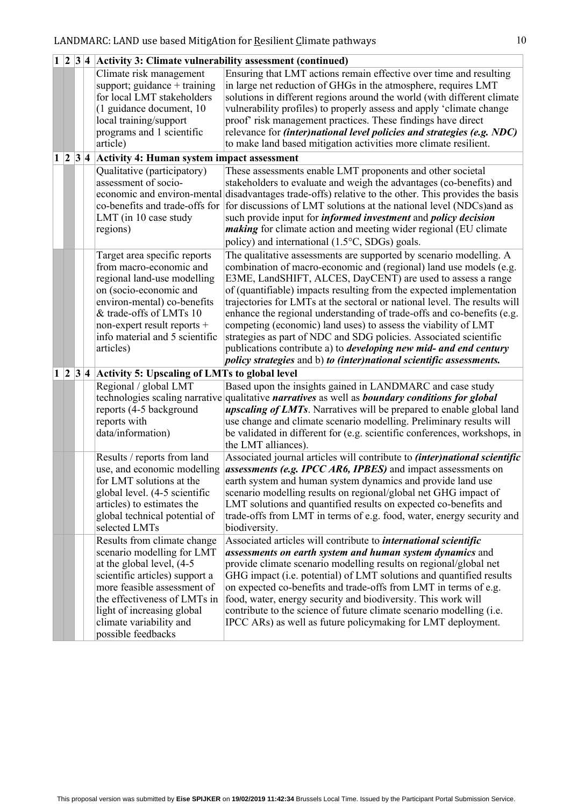|          |             |     | $\vert 1 \vert \vert 2 \vert \vert 3 \vert 4 \vert$ Activity 3: Climate vulnerability assessment (continued)                                                                                                                                                                                                                                                                                                                                                                       |                                                                                                                                                                                                                                                                                                                                                                                                                                                                                                                                                                                                                                                                                                                                                                                                                                                                                                                                                                                                                  |
|----------|-------------|-----|------------------------------------------------------------------------------------------------------------------------------------------------------------------------------------------------------------------------------------------------------------------------------------------------------------------------------------------------------------------------------------------------------------------------------------------------------------------------------------|------------------------------------------------------------------------------------------------------------------------------------------------------------------------------------------------------------------------------------------------------------------------------------------------------------------------------------------------------------------------------------------------------------------------------------------------------------------------------------------------------------------------------------------------------------------------------------------------------------------------------------------------------------------------------------------------------------------------------------------------------------------------------------------------------------------------------------------------------------------------------------------------------------------------------------------------------------------------------------------------------------------|
|          |             |     | Climate risk management<br>support; guidance $+$ training<br>for local LMT stakeholders<br>(1 guidance document, 10<br>local training/support<br>programs and 1 scientific<br>article)                                                                                                                                                                                                                                                                                             | Ensuring that LMT actions remain effective over time and resulting<br>in large net reduction of GHGs in the atmosphere, requires LMT<br>solutions in different regions around the world (with different climate<br>vulnerability profiles) to properly assess and apply 'climate change<br>proof' risk management practices. These findings have direct<br>relevance for <i>(inter)national level policies and strategies (e.g. NDC)</i><br>to make land based mitigation activities more climate resilient.                                                                                                                                                                                                                                                                                                                                                                                                                                                                                                     |
| $\bf{1}$ |             |     | $ 2 3 4$ Activity 4: Human system impact assessment                                                                                                                                                                                                                                                                                                                                                                                                                                |                                                                                                                                                                                                                                                                                                                                                                                                                                                                                                                                                                                                                                                                                                                                                                                                                                                                                                                                                                                                                  |
|          |             |     | Qualitative (participatory)<br>assessment of socio-<br>co-benefits and trade-offs for<br>LMT (in 10 case study<br>regions)                                                                                                                                                                                                                                                                                                                                                         | These assessments enable LMT proponents and other societal<br>stakeholders to evaluate and weigh the advantages (co-benefits) and<br>economic and environ-mental disadvantages trade-offs) relative to the other. This provides the basis<br>for discussions of LMT solutions at the national level (NDCs) and as<br>such provide input for <i>informed investment</i> and <i>policy decision</i><br><i>making</i> for climate action and meeting wider regional (EU climate<br>policy) and international (1.5°C, SDGs) goals.                                                                                                                                                                                                                                                                                                                                                                                                                                                                                   |
|          |             |     | Target area specific reports<br>from macro-economic and<br>regional land-use modelling<br>on (socio-economic and<br>environ-mental) co-benefits<br>& trade-offs of LMTs 10<br>non-expert result reports +<br>info material and 5 scientific<br>articles)                                                                                                                                                                                                                           | The qualitative assessments are supported by scenario modelling. A<br>combination of macro-economic and (regional) land use models (e.g.<br>E3ME, LandSHIFT, ALCES, DayCENT) are used to assess a range<br>of (quantifiable) impacts resulting from the expected implementation<br>trajectories for LMTs at the sectoral or national level. The results will<br>enhance the regional understanding of trade-offs and co-benefits (e.g.<br>competing (economic) land uses) to assess the viability of LMT<br>strategies as part of NDC and SDG policies. Associated scientific<br>publications contribute a) to <i>developing new mid- and end century</i><br>policy strategies and b) to (inter)national scientific assessments.                                                                                                                                                                                                                                                                                 |
| 1        | $ 2\rangle$ | 3 4 | <b>Activity 5: Upscaling of LMTs to global level</b>                                                                                                                                                                                                                                                                                                                                                                                                                               |                                                                                                                                                                                                                                                                                                                                                                                                                                                                                                                                                                                                                                                                                                                                                                                                                                                                                                                                                                                                                  |
|          |             |     | Regional / global LMT<br>reports (4-5 background<br>reports with<br>data/information)                                                                                                                                                                                                                                                                                                                                                                                              | Based upon the insights gained in LANDMARC and case study<br>technologies scaling narrative qualitative <i>narratives</i> as well as <b>boundary conditions for global</b><br><i>upscaling of LMTs</i> . Narratives will be prepared to enable global land<br>use change and climate scenario modelling. Preliminary results will<br>be validated in different for (e.g. scientific conferences, workshops, in<br>the LMT alliances).                                                                                                                                                                                                                                                                                                                                                                                                                                                                                                                                                                            |
|          |             |     | Results / reports from land<br>use, and economic modelling<br>for LMT solutions at the<br>global level. (4-5 scientific<br>articles) to estimates the<br>global technical potential of<br>selected LMTs<br>Results from climate change<br>scenario modelling for LMT<br>at the global level, (4-5)<br>scientific articles) support a<br>more feasible assessment of<br>the effectiveness of LMTs in<br>light of increasing global<br>climate variability and<br>possible feedbacks | Associated journal articles will contribute to <i>(inter)national scientific</i><br>assessments (e.g. IPCC AR6, IPBES) and impact assessments on<br>earth system and human system dynamics and provide land use<br>scenario modelling results on regional/global net GHG impact of<br>LMT solutions and quantified results on expected co-benefits and<br>trade-offs from LMT in terms of e.g. food, water, energy security and<br>biodiversity.<br>Associated articles will contribute to <i>international scientific</i><br>assessments on earth system and human system dynamics and<br>provide climate scenario modelling results on regional/global net<br>GHG impact (i.e. potential) of LMT solutions and quantified results<br>on expected co-benefits and trade-offs from LMT in terms of e.g.<br>food, water, energy security and biodiversity. This work will<br>contribute to the science of future climate scenario modelling (i.e.<br>IPCC ARs) as well as future policymaking for LMT deployment. |